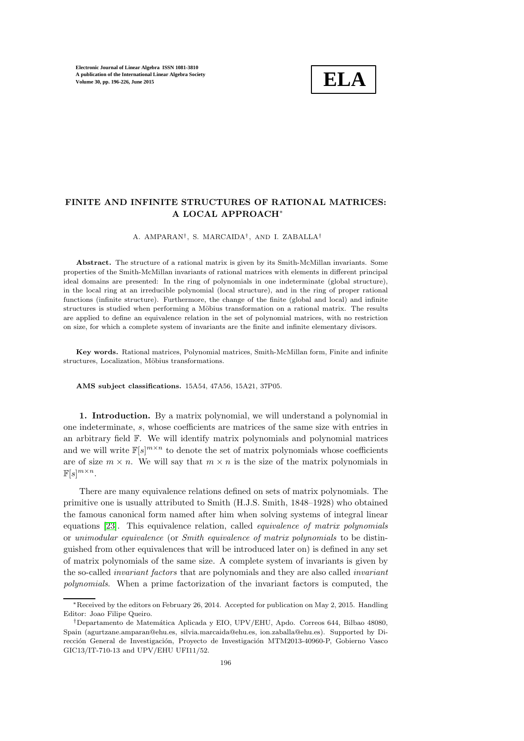

# FINITE AND INFINITE STRUCTURES OF RATIONAL MATRICES: A LOCAL APPROACH<sup>∗</sup>

A. AMPARAN† , S. MARCAIDA† , AND I. ZABALLA†

Abstract. The structure of a rational matrix is given by its Smith-McMillan invariants. Some properties of the Smith-McMillan invariants of rational matrices with elements in different principal ideal domains are presented: In the ring of polynomials in one indeterminate (global structure), in the local ring at an irreducible polynomial (local structure), and in the ring of proper rational functions (infinite structure). Furthermore, the change of the finite (global and local) and infinite structures is studied when performing a Möbius transformation on a rational matrix. The results are applied to define an equivalence relation in the set of polynomial matrices, with no restriction on size, for which a complete system of invariants are the finite and infinite elementary divisors.

Key words. Rational matrices, Polynomial matrices, Smith-McMillan form, Finite and infinite structures, Localization, Möbius transformations.

AMS subject classifications. 15A54, 47A56, 15A21, 37P05.

1. Introduction. By a matrix polynomial, we will understand a polynomial in one indeterminate, s, whose coefficients are matrices of the same size with entries in an arbitrary field F. We will identify matrix polynomials and polynomial matrices and we will write  $\mathbb{F}[s]^{m \times n}$  to denote the set of matrix polynomials whose coefficients are of size  $m \times n$ . We will say that  $m \times n$  is the size of the matrix polynomials in  $\mathbb{F}[s]^{m \times n}$ .

There are many equivalence relations defined on sets of matrix polynomials. The primitive one is usually attributed to Smith (H.J.S. Smith, 1848–1928) who obtained the famous canonical form named after him when solving systems of integral linear equations [\[23\]](#page-30-0). This equivalence relation, called equivalence of matrix polynomials or unimodular equivalence (or Smith equivalence of matrix polynomials to be distinguished from other equivalences that will be introduced later on) is defined in any set of matrix polynomials of the same size. A complete system of invariants is given by the so-called invariant factors that are polynomials and they are also called invariant polynomials. When a prime factorization of the invariant factors is computed, the

<sup>∗</sup>Received by the editors on February 26, 2014. Accepted for publication on May 2, 2015. Handling Editor: Joao Filipe Queiro.

<sup>†</sup>Departamento de Matem´atica Aplicada y EIO, UPV/EHU, Apdo. Correos 644, Bilbao 48080, Spain (agurtzane.amparan@ehu.es, silvia.marcaida@ehu.es, ion.zaballa@ehu.es). Supported by Dirección General de Investigación, Proyecto de Investigación MTM2013-40960-P, Gobierno Vasco GIC13/IT-710-13 and UPV/EHU UFI11/52.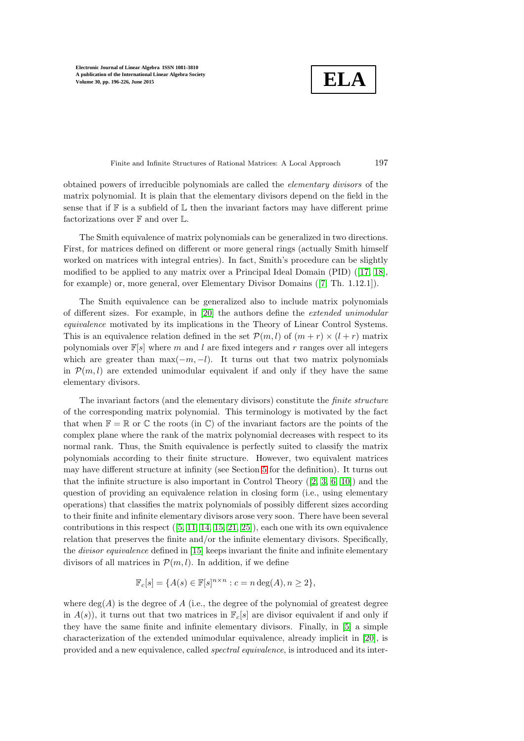**ELA**

Finite and Infinite Structures of Rational Matrices: A Local Approach 197

obtained powers of irreducible polynomials are called the elementary divisors of the matrix polynomial. It is plain that the elementary divisors depend on the field in the sense that if  $\mathbb F$  is a subfield of  $\mathbb L$  then the invariant factors may have different prime factorizations over  $\mathbb F$  and over  $\mathbb L$ .

The Smith equivalence of matrix polynomials can be generalized in two directions. First, for matrices defined on different or more general rings (actually Smith himself worked on matrices with integral entries). In fact, Smith's procedure can be slightly modified to be applied to any matrix over a Principal Ideal Domain (PID) ([\[17,](#page-30-1) [18\]](#page-30-2), for example) or, more general, over Elementary Divisor Domains ([\[7,](#page-30-3) Th. 1.12.1]).

The Smith equivalence can be generalized also to include matrix polynomials of different sizes. For example, in [\[20\]](#page-30-4) the authors define the extended unimodular equivalence motivated by its implications in the Theory of Linear Control Systems. This is an equivalence relation defined in the set  $\mathcal{P}(m, l)$  of  $(m + r) \times (l + r)$  matrix polynomials over  $\mathbb{F}[s]$  where m and l are fixed integers and r ranges over all integers which are greater than  $\max(-m, -l)$ . It turns out that two matrix polynomials in  $\mathcal{P}(m, l)$  are extended unimodular equivalent if and only if they have the same elementary divisors.

The invariant factors (and the elementary divisors) constitute the finite structure of the corresponding matrix polynomial. This terminology is motivated by the fact that when  $\mathbb{F} = \mathbb{R}$  or  $\mathbb{C}$  the roots (in  $\mathbb{C}$ ) of the invariant factors are the points of the complex plane where the rank of the matrix polynomial decreases with respect to its normal rank. Thus, the Smith equivalence is perfectly suited to classify the matrix polynomials according to their finite structure. However, two equivalent matrices may have different structure at infinity (see Section [5](#page-11-0) for the definition). It turns out that the infinite structure is also important in Control Theory  $([2, 3, 6, 10])$  $([2, 3, 6, 10])$  $([2, 3, 6, 10])$  $([2, 3, 6, 10])$  $([2, 3, 6, 10])$  $([2, 3, 6, 10])$  and the question of providing an equivalence relation in closing form (i.e., using elementary operations) that classifies the matrix polynomials of possibly different sizes according to their finite and infinite elementary divisors arose very soon. There have been several contributions in this respect  $([5, 11, 14, 15, 21, 25])$  $([5, 11, 14, 15, 21, 25])$  $([5, 11, 14, 15, 21, 25])$  $([5, 11, 14, 15, 21, 25])$  $([5, 11, 14, 15, 21, 25])$  $([5, 11, 14, 15, 21, 25])$  $([5, 11, 14, 15, 21, 25])$  $([5, 11, 14, 15, 21, 25])$ , each one with its own equivalence relation that preserves the finite and/or the infinite elementary divisors. Specifically, the divisor equivalence defined in [\[15\]](#page-30-9) keeps invariant the finite and infinite elementary divisors of all matrices in  $\mathcal{P}(m, l)$ . In addition, if we define

$$
\mathbb{F}_c[s] = \{A(s) \in \mathbb{F}[s]^{n \times n} : c = n \deg(A), n \ge 2\},\
$$

where  $deg(A)$  is the degree of A (i.e., the degree of the polynomial of greatest degree in  $A(s)$ , it turns out that two matrices in  $\mathbb{F}_c[s]$  are divisor equivalent if and only if they have the same finite and infinite elementary divisors. Finally, in [\[5\]](#page-29-2) a simple characterization of the extended unimodular equivalence, already implicit in [\[20\]](#page-30-4), is provided and a new equivalence, called spectral equivalence, is introduced and its inter-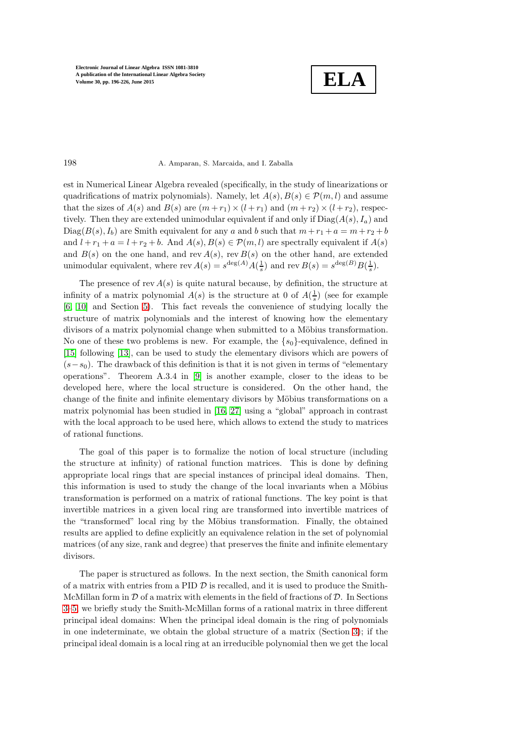**ELA**

### 198 A. Amparan, S. Marcaida, and I. Zaballa

est in Numerical Linear Algebra revealed (specifically, in the study of linearizations or quadrifications of matrix polynomials). Namely, let  $A(s), B(s) \in \mathcal{P}(m, l)$  and assume that the sizes of  $A(s)$  and  $B(s)$  are  $(m + r_1) \times (l + r_1)$  and  $(m + r_2) \times (l + r_2)$ , respectively. Then they are extended unimodular equivalent if and only if  $Diag(A(s), I_a)$  and  $Diag(B(s), I_b)$  are Smith equivalent for any a and b such that  $m+r_1 + a = m+r_2 + b$ and  $l + r_1 + a = l + r_2 + b$ . And  $A(s), B(s) \in \mathcal{P}(m, l)$  are spectrally equivalent if  $A(s)$ and  $B(s)$  on the one hand, and rev  $A(s)$ , rev  $B(s)$  on the other hand, are extended unimodular equivalent, where rev  $A(s) = s^{\deg(A)} A(\frac{1}{s})$  and rev  $B(s) = s^{\deg(B)} B(\frac{1}{s})$ .

The presence of rev  $A(s)$  is quite natural because, by definition, the structure at infinity of a matrix polynomial  $A(s)$  is the structure at 0 of  $A(\frac{1}{s})$  (see for example [\[6,](#page-30-5) [10\]](#page-30-6) and Section [5\)](#page-11-0). This fact reveals the convenience of studying locally the structure of matrix polynomials and the interest of knowing how the elementary divisors of a matrix polynomial change when submitted to a Möbius transformation. No one of these two problems is new. For example, the  $\{s_0\}$ -equivalence, defined in [\[15\]](#page-30-9) following [\[13\]](#page-30-12), can be used to study the elementary divisors which are powers of  $(s-s_0)$ . The drawback of this definition is that it is not given in terms of "elementary" operations". Theorem A.3.4 in [\[9\]](#page-30-13) is another example, closer to the ideas to be developed here, where the local structure is considered. On the other hand, the change of the finite and infinite elementary divisors by Möbius transformations on a matrix polynomial has been studied in [\[16,](#page-30-14) [27\]](#page-30-15) using a "global" approach in contrast with the local approach to be used here, which allows to extend the study to matrices of rational functions.

The goal of this paper is to formalize the notion of local structure (including the structure at infinity) of rational function matrices. This is done by defining appropriate local rings that are special instances of principal ideal domains. Then, this information is used to study the change of the local invariants when a Möbius transformation is performed on a matrix of rational functions. The key point is that invertible matrices in a given local ring are transformed into invertible matrices of the "transformed" local ring by the Möbius transformation. Finally, the obtained results are applied to define explicitly an equivalence relation in the set of polynomial matrices (of any size, rank and degree) that preserves the finite and infinite elementary divisors.

The paper is structured as follows. In the next section, the Smith canonical form of a matrix with entries from a PID  $\mathcal D$  is recalled, and it is used to produce the Smith-McMillan form in  $\mathcal D$  of a matrix with elements in the field of fractions of  $\mathcal D$ . In Sections [3](#page-5-0)[–5,](#page-11-0) we briefly study the Smith-McMillan forms of a rational matrix in three different principal ideal domains: When the principal ideal domain is the ring of polynomials in one indeterminate, we obtain the global structure of a matrix (Section [3\)](#page-5-0); if the principal ideal domain is a local ring at an irreducible polynomial then we get the local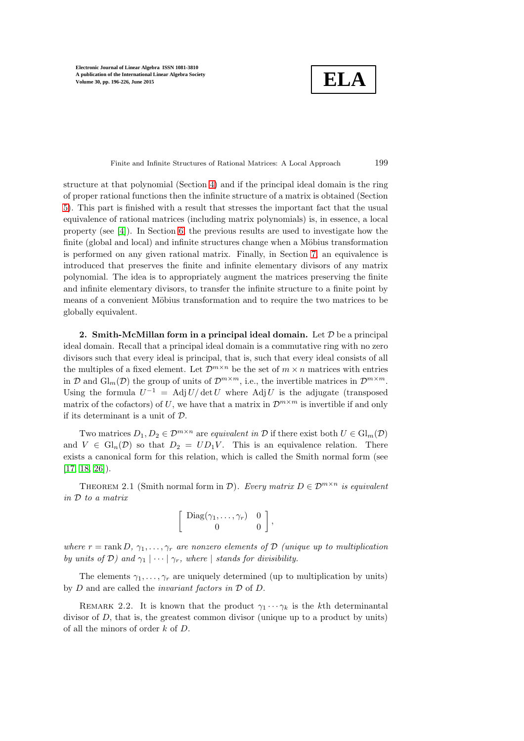**ELA**

Finite and Infinite Structures of Rational Matrices: A Local Approach 199

structure at that polynomial (Section [4\)](#page-7-0) and if the principal ideal domain is the ring of proper rational functions then the infinite structure of a matrix is obtained (Section [5\)](#page-11-0). This part is finished with a result that stresses the important fact that the usual equivalence of rational matrices (including matrix polynomials) is, in essence, a local property (see [\[4\]](#page-29-3)). In Section [6,](#page-14-0) the previous results are used to investigate how the finite (global and local) and infinite structures change when a Möbius transformation is performed on any given rational matrix. Finally, in Section [7,](#page-27-0) an equivalence is introduced that preserves the finite and infinite elementary divisors of any matrix polynomial. The idea is to appropriately augment the matrices preserving the finite and infinite elementary divisors, to transfer the infinite structure to a finite point by means of a convenient Möbius transformation and to require the two matrices to be globally equivalent.

2. Smith-McMillan form in a principal ideal domain. Let  $D$  be a principal ideal domain. Recall that a principal ideal domain is a commutative ring with no zero divisors such that every ideal is principal, that is, such that every ideal consists of all the multiples of a fixed element. Let  $\mathcal{D}^{m \times n}$  be the set of  $m \times n$  matrices with entries in D and  $\mathrm{Gl}_m(\mathcal{D})$  the group of units of  $\mathcal{D}^{m \times m}$ , i.e., the invertible matrices in  $\mathcal{D}^{m \times m}$ . Using the formula  $U^{-1} = \text{Adj } U / \det U$  where Adj U is the adjugate (transposed matrix of the cofactors) of U, we have that a matrix in  $\mathcal{D}^{m \times m}$  is invertible if and only if its determinant is a unit of D.

Two matrices  $D_1, D_2 \in \mathcal{D}^{m \times n}$  are equivalent in  $\mathcal D$  if there exist both  $U \in \mathrm{Gl}_m(\mathcal D)$ and  $V \in Gl_n(\mathcal{D})$  so that  $D_2 = UD_1V$ . This is an equivalence relation. There exists a canonical form for this relation, which is called the Smith normal form (see [\[17,](#page-30-1) [18,](#page-30-2) [26\]](#page-30-16)).

<span id="page-3-0"></span>THEOREM 2.1 (Smith normal form in D). Every matrix  $D \in \mathcal{D}^{m \times n}$  is equivalent in D to a matrix

$$
\left[\begin{array}{cc}\n\text{Diag}(\gamma_1,\ldots,\gamma_r) & 0 \\
0 & 0\n\end{array}\right],
$$

where  $r = \text{rank } D, \gamma_1, \dots, \gamma_r$  are nonzero elements of  $D$  (unique up to multiplication by units of D) and  $\gamma_1 \mid \cdots \mid \gamma_r$ , where | stands for divisibility.

<span id="page-3-1"></span>The elements  $\gamma_1, \ldots, \gamma_r$  are uniquely determined (up to multiplication by units) by  $D$  and are called the *invariant factors in*  $D$  of  $D$ .

REMARK 2.2. It is known that the product  $\gamma_1 \cdots \gamma_k$  is the kth determinantal divisor of D, that is, the greatest common divisor (unique up to a product by units) of all the minors of order k of D.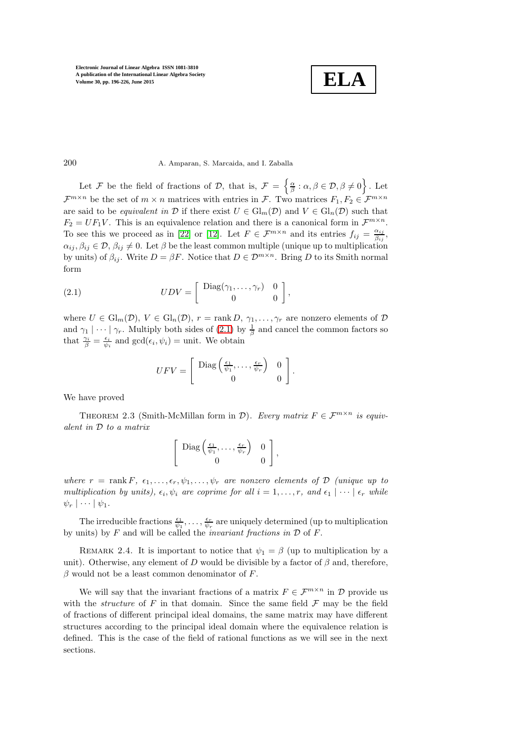$$
\boxed{\textbf{ELA}}
$$

200 A. Amparan, S. Marcaida, and I. Zaballa

Let F be the field of fractions of D, that is,  $\mathcal{F} = \left\{ \frac{\alpha}{\beta} : \alpha, \beta \in \mathcal{D}, \beta \neq 0 \right\}$ . Let  $\mathcal{F}^{m\times n}$  be the set of  $m\times n$  matrices with entries in  $\mathcal{F}$ . Two matrices  $F_1, F_2 \in \mathcal{F}^{m\times n}$ are said to be *equivalent in*  $D$  if there exist  $U \in Gl_m(\mathcal{D})$  and  $V \in Gl_n(\mathcal{D})$  such that  $F_2 = UF_1V$ . This is an equivalence relation and there is a canonical form in  $\mathcal{F}^{m \times n}$ . To see this we proceed as in [\[22\]](#page-30-17) or [\[12\]](#page-30-18). Let  $F \in \mathcal{F}^{m \times n}$  and its entries  $f_{ij} = \frac{\alpha_{ij}}{\beta_{ij}}$  $\frac{\alpha_{ij}}{\beta_{ij}},$  $\alpha_{ii}, \beta_{ii} \in \mathcal{D}, \beta_{ii} \neq 0$ . Let  $\beta$  be the least common multiple (unique up to multiplication by units) of  $\beta_{ij}$ . Write  $D = \beta F$ . Notice that  $D \in \mathcal{D}^{m \times n}$ . Bring D to its Smith normal form

(2.1) 
$$
UDV = \begin{bmatrix} \text{Diag}(\gamma_1, \dots, \gamma_r) & 0 \\ 0 & 0 \end{bmatrix},
$$

where  $U \in Gl_m(\mathcal{D}), V \in Gl_n(\mathcal{D}), r = \text{rank } D, \gamma_1, \ldots, \gamma_r$  are nonzero elements of  $\mathcal D$ and  $\gamma_1 \mid \cdots \mid \gamma_r$ . Multiply both sides of [\(2.1\)](#page-4-0) by  $\frac{1}{\beta}$  and cancel the common factors so that  $\frac{\gamma_i}{\beta} = \frac{\epsilon_i}{\psi_i}$  and  $gcd(\epsilon_i, \psi_i) = \text{unit}$ . We obtain

<span id="page-4-1"></span><span id="page-4-0"></span>
$$
UFV = \left[ \begin{array}{cc} \text{Diag}\left(\frac{\epsilon_1}{\psi_1}, \ldots, \frac{\epsilon_r}{\psi_r}\right) & 0\\ 0 & 0 \end{array} \right].
$$

We have proved

THEOREM 2.3 (Smith-McMillan form in  $\mathcal{D}$ ). Every matrix  $F \in \mathcal{F}^{m \times n}$  is equivalent in D to a matrix

$$
\left[\begin{array}{cc} \text{Diag}\left(\frac{\epsilon_1}{\psi_1},\ldots,\frac{\epsilon_r}{\psi_r}\right) & 0\\ 0 & 0 \end{array}\right],
$$

where  $r = \text{rank } F, \epsilon_1, \ldots, \epsilon_r, \psi_1, \ldots, \psi_r$  are nonzero elements of  $\mathcal{D}$  (unique up to multiplication by units),  $\epsilon_i, \psi_i$  are coprime for all  $i = 1, \ldots, r$ , and  $\epsilon_1 | \cdots | \epsilon_r$  while  $\psi_r | \cdots | \psi_1$ .

<span id="page-4-2"></span>The irreducible fractions  $\frac{\epsilon_1}{\psi_1}, \ldots, \frac{\epsilon_r}{\psi_r}$  are uniquely determined (up to multiplication by units) by F and will be called the *invariant fractions in*  $D$  of F.

REMARK 2.4. It is important to notice that  $\psi_1 = \beta$  (up to multiplication by a unit). Otherwise, any element of D would be divisible by a factor of  $\beta$  and, therefore,  $\beta$  would not be a least common denominator of F.

We will say that the invariant fractions of a matrix  $F \in \mathcal{F}^{m \times n}$  in  $\mathcal{D}$  provide us with the *structure* of F in that domain. Since the same field  $\mathcal F$  may be the field of fractions of different principal ideal domains, the same matrix may have different structures according to the principal ideal domain where the equivalence relation is defined. This is the case of the field of rational functions as we will see in the next sections.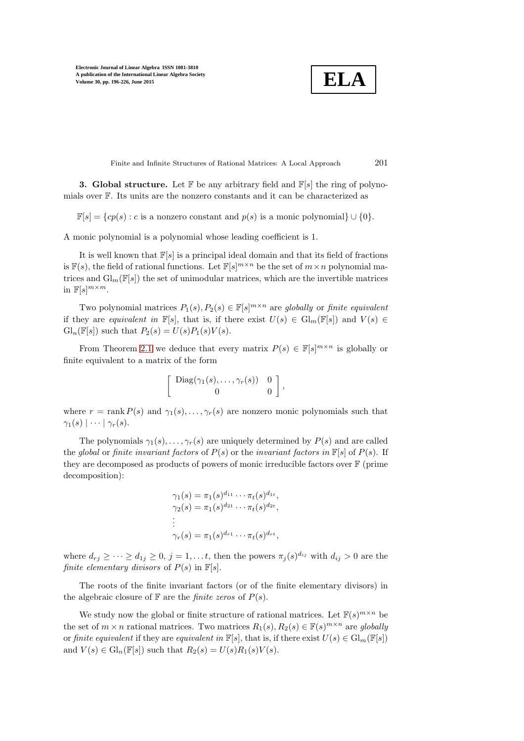$$
\boxed{\text{ELA}}
$$

Finite and Infinite Structures of Rational Matrices: A Local Approach 201

<span id="page-5-0"></span>**3. Global structure.** Let  $\mathbb{F}$  be any arbitrary field and  $\mathbb{F}[s]$  the ring of polynomials over F. Its units are the nonzero constants and it can be characterized as

 $\mathbb{F}[s] = \{cp(s) : c \text{ is a nonzero constant and } p(s) \text{ is a monic polynomial}\} \cup \{0\}.$ 

A monic polynomial is a polynomial whose leading coefficient is 1.

It is well known that  $\mathbb{F}[s]$  is a principal ideal domain and that its field of fractions is  $\mathbb{F}(s)$ , the field of rational functions. Let  $\mathbb{F}[s]^{m \times n}$  be the set of  $m \times n$  polynomial matrices and  $\mathrm{Gl}_m(\mathbb{F}[s])$  the set of unimodular matrices, which are the invertible matrices in  $\mathbb{F}[s]^{m \times m}$ .

Two polynomial matrices  $P_1(s), P_2(s) \in \mathbb{F}[s]^{m \times n}$  are globally or finite equivalent if they are equivalent in  $\mathbb{F}[s]$ , that is, if there exist  $U(s) \in Gl_m(\mathbb{F}[s])$  and  $V(s) \in$  $Gl_n(\mathbb{F}[s])$  such that  $P_2(s) = U(s)P_1(s)V(s)$ .

From Theorem [2.1](#page-3-0) we deduce that every matrix  $P(s) \in \mathbb{F}[s]^{m \times n}$  is globally or finite equivalent to a matrix of the form

$$
\left[\begin{array}{cc}\text{Diag}(\gamma_1(s),\ldots,\gamma_r(s)) & 0\\0 & 0\end{array}\right],
$$

where  $r = \text{rank } P(s)$  and  $\gamma_1(s), \ldots, \gamma_r(s)$  are nonzero monic polynomials such that  $\gamma_1(s) \mid \cdots \mid \gamma_r(s)$ .

The polynomials  $\gamma_1(s), \ldots, \gamma_r(s)$  are uniquely determined by  $P(s)$  and are called the global or finite invariant factors of  $P(s)$  or the invariant factors in  $\mathbb{F}[s]$  of  $P(s)$ . If they are decomposed as products of powers of monic irreducible factors over F (prime decomposition):

$$
\gamma_1(s) = \pi_1(s)^{d_{11}} \cdots \pi_t(s)^{d_{1t}},
$$
  
\n
$$
\gamma_2(s) = \pi_1(s)^{d_{21}} \cdots \pi_t(s)^{d_{2t}},
$$
  
\n
$$
\vdots
$$
  
\n
$$
\gamma_r(s) = \pi_1(s)^{d_{r1}} \cdots \pi_t(s)^{d_{rt}},
$$

where  $d_{rj} \geq \cdots \geq d_{1j} \geq 0$ ,  $j = 1, \ldots t$ , then the powers  $\pi_j(s)^{d_{ij}}$  with  $d_{ij} > 0$  are the finite elementary divisors of  $P(s)$  in  $\mathbb{F}[s]$ .

The roots of the finite invariant factors (or of the finite elementary divisors) in the algebraic closure of  $\mathbb F$  are the *finite zeros* of  $P(s)$ .

We study now the global or finite structure of rational matrices. Let  $\mathbb{F}(s)^{m \times n}$  be the set of  $m \times n$  rational matrices. Two matrices  $R_1(s)$ ,  $R_2(s) \in \mathbb{F}(s)^{m \times n}$  are globally or finite equivalent if they are equivalent in  $\mathbb{F}[s]$ , that is, if there exist  $U(s) \in \mathrm{Gl}_m(\mathbb{F}[s])$ and  $V(s) \in \mathrm{Gl}_n(\mathbb{F}[s])$  such that  $R_2(s) = U(s)R_1(s)V(s)$ .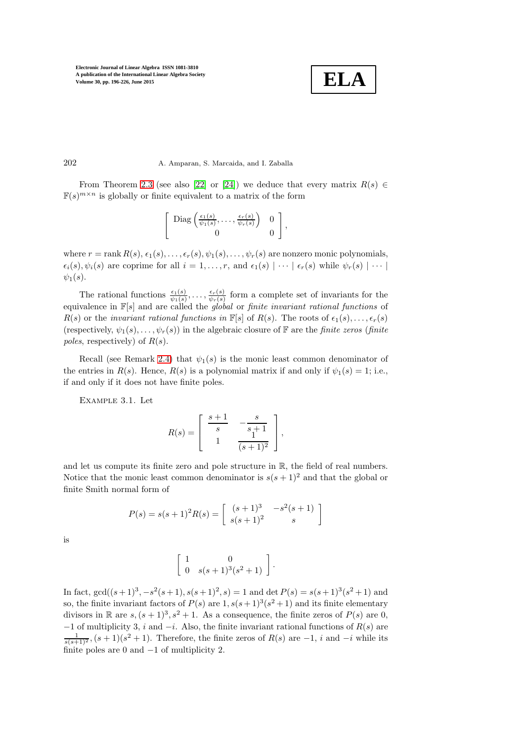

### 202 A. Amparan, S. Marcaida, and I. Zaballa

From Theorem [2.3](#page-4-1) (see also [\[22\]](#page-30-17) or [\[24\]](#page-30-19)) we deduce that every matrix  $R(s) \in$  $\mathbb{F}(s)^{m \times n}$  is globally or finite equivalent to a matrix of the form

$$
\left[\begin{array}{cc}\text{Diag}\left(\frac{\epsilon_1(s)}{\psi_1(s)},\ldots,\frac{\epsilon_r(s)}{\psi_r(s)}\right) & 0\\0 & 0\end{array}\right],
$$

where  $r = \text{rank } R(s), \epsilon_1(s), \ldots, \epsilon_r(s), \psi_1(s), \ldots, \psi_r(s)$  are nonzero monic polynomials,  $\epsilon_i(s), \psi_i(s)$  are coprime for all  $i = 1, \ldots, r$ , and  $\epsilon_1(s) \mid \cdots \mid \epsilon_r(s)$  while  $\psi_r(s) \mid \cdots \mid$  $\psi_1(s)$ .

The rational functions  $\frac{\epsilon_1(s)}{\psi_1(s)}, \ldots, \frac{\epsilon_r(s)}{\psi_r(s)}$  $\frac{\epsilon_r(s)}{\psi_r(s)}$  form a complete set of invariants for the equivalence in  $\mathbb{F}[s]$  and are called the *global* or *finite invariant rational functions* of  $R(s)$  or the invariant rational functions in  $\mathbb{F}[s]$  of  $R(s)$ . The roots of  $\epsilon_1(s), \ldots, \epsilon_r(s)$ (respectively,  $\psi_1(s), \ldots, \psi_r(s)$ ) in the algebraic closure of F are the *finite zeros* (*finite* poles, respectively) of  $R(s)$ .

<span id="page-6-0"></span>Recall (see Remark [2.4\)](#page-4-2) that  $\psi_1(s)$  is the monic least common denominator of the entries in  $R(s)$ . Hence,  $R(s)$  is a polynomial matrix if and only if  $\psi_1(s) = 1$ ; i.e., if and only if it does not have finite poles.

Example 3.1. Let

$$
R(s) = \begin{bmatrix} \frac{s+1}{s} & -\frac{s}{s+1} \\ 1 & \frac{1}{(s+1)^2} \end{bmatrix},
$$

and let us compute its finite zero and pole structure in R, the field of real numbers. Notice that the monic least common denominator is  $s(s + 1)^2$  and that the global or finite Smith normal form of

$$
P(s) = s(s+1)^{2} R(s) = \begin{bmatrix} (s+1)^{3} & -s^{2}(s+1) \\ s(s+1)^{2} & s \end{bmatrix}
$$

is

$$
\left[\begin{array}{cc} 1 & 0 \\ 0 & s(s+1)^3(s^2+1) \end{array}\right].
$$

In fact,  $gcd((s+1)^3, -s^2(s+1), s(s+1)^2, s) = 1$  and  $det P(s) = s(s+1)^3(s^2+1)$  and so, the finite invariant factors of  $P(s)$  are  $1, s(s+1)^3(s^2+1)$  and its finite elementary divisors in R are  $s, (s + 1)^3, s^2 + 1$ . As a consequence, the finite zeros of  $P(s)$  are 0,  $-1$  of multiplicity 3, i and  $-i$ . Also, the finite invariant rational functions of  $R(s)$  are  $\frac{1}{s(s+1)^2}$ ,  $(s+1)(s^2+1)$ . Therefore, the finite zeros of  $R(s)$  are  $-1$ , i and  $-i$  while its finite poles are 0 and −1 of multiplicity 2.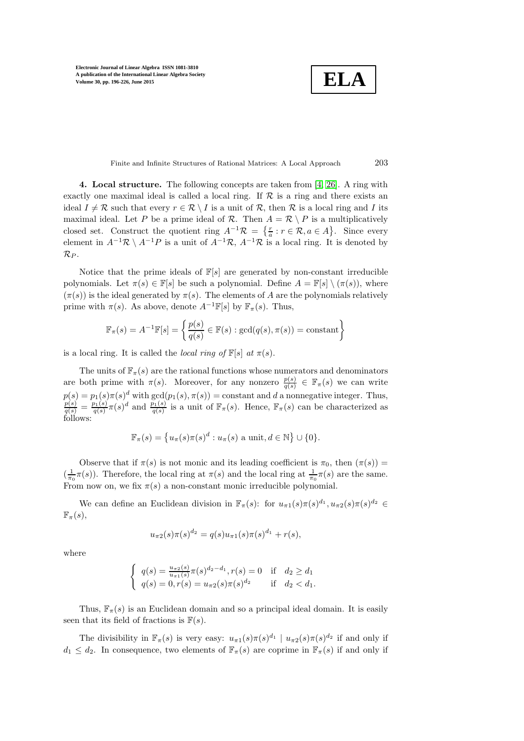**ELA**

Finite and Infinite Structures of Rational Matrices: A Local Approach 203

<span id="page-7-0"></span>4. Local structure. The following concepts are taken from [\[4,](#page-29-3) [26\]](#page-30-16). A ring with exactly one maximal ideal is called a local ring. If  $R$  is a ring and there exists an ideal  $I \neq \mathcal{R}$  such that every  $r \in \mathcal{R} \setminus I$  is a unit of  $\mathcal{R}$ , then  $\mathcal{R}$  is a local ring and I its maximal ideal. Let P be a prime ideal of R. Then  $A = \mathcal{R} \setminus P$  is a multiplicatively closed set. Construct the quotient ring  $A^{-1}\mathcal{R} = \{\frac{r}{a} : r \in \mathcal{R}, a \in A\}$ . Since every element in  $A^{-1}\mathcal{R} \setminus A^{-1}P$  is a unit of  $A^{-1}\mathcal{R}$ ,  $A^{-1}\mathcal{R}$  is a local ring. It is denoted by  $\mathcal{R}_P$ .

Notice that the prime ideals of  $\mathbb{F}[s]$  are generated by non-constant irreducible polynomials. Let  $\pi(s) \in \mathbb{F}[s]$  be such a polynomial. Define  $A = \mathbb{F}[s] \setminus (\pi(s))$ , where  $(\pi(s))$  is the ideal generated by  $\pi(s)$ . The elements of A are the polynomials relatively prime with  $\pi(s)$ . As above, denote  $A^{-1}\mathbb{F}[s]$  by  $\mathbb{F}_{\pi}(s)$ . Thus,

$$
\mathbb{F}_{\pi}(s) = A^{-1}\mathbb{F}[s] = \left\{ \frac{p(s)}{q(s)} \in \mathbb{F}(s) : \gcd(q(s), \pi(s)) = \text{constant} \right\}
$$

is a local ring. It is called the *local ring of*  $\mathbb{F}[s]$  at  $\pi(s)$ .

The units of  $\mathbb{F}_{\pi}(s)$  are the rational functions whose numerators and denominators are both prime with  $\pi(s)$ . Moreover, for any nonzero  $\frac{p(s)}{q(s)} \in \mathbb{F}_{\pi}(s)$  we can write  $p(s) = p_1(s)\pi(s)^d$  with  $gcd(p_1(s), \pi(s))$  = constant and d a nonnegative integer. Thus,  $\frac{p(s)}{q(s)} = \frac{p_1(s)}{q(s)} \pi(s)^d$  and  $\frac{p_1(s)}{q(s)}$  is a unit of  $\mathbb{F}_{\pi}(s)$ . Hence,  $\mathbb{F}_{\pi}(s)$  can be characterized as follows:

$$
\mathbb{F}_{\pi}(s) = \left\{ u_{\pi}(s)\pi(s)^{d} : u_{\pi}(s) \text{ a unit, } d \in \mathbb{N} \right\} \cup \{0\}.
$$

Observe that if  $\pi(s)$  is not monic and its leading coefficient is  $\pi_0$ , then  $(\pi(s))$  =  $(\frac{1}{\pi_0}\pi(s))$ . Therefore, the local ring at  $\pi(s)$  and the local ring at  $\frac{1}{\pi_0}\pi(s)$  are the same. From now on, we fix  $\pi(s)$  a non-constant monic irreducible polynomial.

We can define an Euclidean division in  $\mathbb{F}_{\pi}(s)$ : for  $u_{\pi 1}(s)\pi(s)^{d_1}, u_{\pi 2}(s)\pi(s)^{d_2} \in$  $\mathbb{F}_{\pi}(s),$ 

$$
u_{\pi 2}(s)\pi(s)^{d_2} = q(s)u_{\pi 1}(s)\pi(s)^{d_1} + r(s),
$$

where

$$
\begin{cases} q(s) = \frac{u_{\pi 2}(s)}{u_{\pi 1}(s)} \pi(s)^{d_2 - d_1}, r(s) = 0 & \text{if } d_2 \ge d_1 \\ q(s) = 0, r(s) = u_{\pi 2}(s) \pi(s)^{d_2} & \text{if } d_2 < d_1. \end{cases}
$$

Thus,  $\mathbb{F}_{\pi}(s)$  is an Euclidean domain and so a principal ideal domain. It is easily seen that its field of fractions is  $F(s)$ .

The divisibility in  $\mathbb{F}_{\pi}(s)$  is very easy:  $u_{\pi 1}(s)\pi(s)^{d_1} | u_{\pi 2}(s)\pi(s)^{d_2}$  if and only if  $d_1 \leq d_2$ . In consequence, two elements of  $\mathbb{F}_{\pi}(s)$  are coprime in  $\mathbb{F}_{\pi}(s)$  if and only if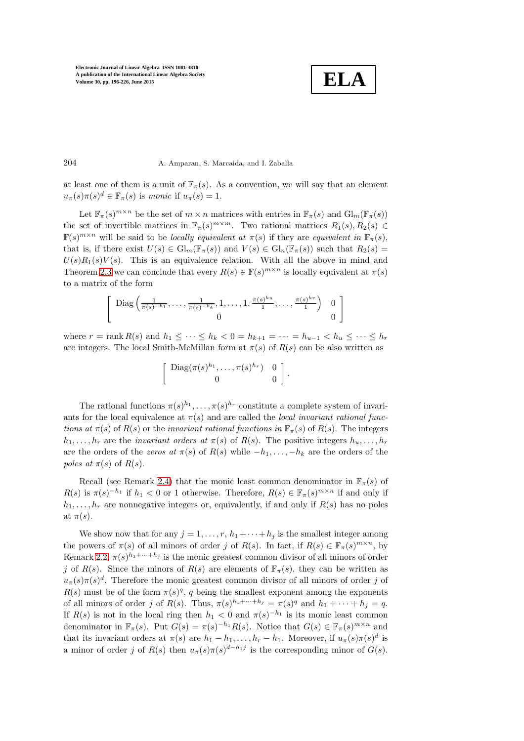$$
\boxed{\textbf{ELA}}
$$

### 204 A. Amparan, S. Marcaida, and I. Zaballa

at least one of them is a unit of  $\mathbb{F}_{\pi}(s)$ . As a convention, we will say that an element  $u_{\pi}(s)\pi(s)^d \in \mathbb{F}_{\pi}(s)$  is monic if  $u_{\pi}(s) = 1$ .

Let  $\mathbb{F}_{\pi}(s)^{m \times n}$  be the set of  $m \times n$  matrices with entries in  $\mathbb{F}_{\pi}(s)$  and  $\mathrm{Gl}_{m}(\mathbb{F}_{\pi}(s))$ the set of invertible matrices in  $\mathbb{F}_{\pi}(s)^{m \times m}$ . Two rational matrices  $R_1(s), R_2(s) \in$  $\mathbb{F}(s)^{m \times n}$  will be said to be *locally equivalent at*  $\pi(s)$  if they are *equivalent in*  $\mathbb{F}_{\pi}(s)$ , that is, if there exist  $U(s) \in \mathrm{Gl}_m(\mathbb{F}_{\pi}(s))$  and  $V(s) \in \mathrm{Gl}_n(\mathbb{F}_{\pi}(s))$  such that  $R_2(s)$  $U(s)R_1(s)V(s)$ . This is an equivalence relation. With all the above in mind and Theorem [2.3](#page-4-1) we can conclude that every  $R(s) \in \mathbb{F}(s)^{m \times n}$  is locally equivalent at  $\pi(s)$ to a matrix of the form

$$
\left[\begin{array}{c}\text{Diag}\left(\frac{1}{\pi(s)^{-h_1}},\ldots,\frac{1}{\pi(s)^{-h_k}},1,\ldots,1,\frac{\pi(s)^{h_u}}{1},\ldots,\frac{\pi(s)^{h_r}}{1}\right) & 0\\0 & 0\end{array}\right]
$$

where  $r = \text{rank } R(s)$  and  $h_1 \leq \cdots \leq h_k < 0 = h_{k+1} = \cdots = h_{u-1} < h_u \leq \cdots \leq h_r$ are integers. The local Smith-McMillan form at  $\pi(s)$  of  $R(s)$  can be also written as

$$
\left[\begin{array}{cc}\text{Diag}(\pi(s)^{h_1},\ldots,\pi(s)^{h_r}) & 0\\0 & 0\end{array}\right].
$$

The rational functions  $\pi(s)^{h_1}, \ldots, \pi(s)^{h_r}$  constitute a complete system of invariants for the local equivalence at  $\pi(s)$  and are called the *local invariant rational func*tions at  $\pi(s)$  of  $R(s)$  or the invariant rational functions in  $\mathbb{F}_{\pi}(s)$  of  $R(s)$ . The integers  $h_1, \ldots, h_r$  are the *invariant orders at*  $\pi(s)$  of  $R(s)$ . The positive integers  $h_u, \ldots, h_r$ are the orders of the zeros at  $\pi(s)$  of  $R(s)$  while  $-h_1, \ldots, -h_k$  are the orders of the poles at  $\pi(s)$  of  $R(s)$ .

Recall (see Remark [2.4\)](#page-4-2) that the monic least common denominator in  $\mathbb{F}_{\pi}(s)$  of  $R(s)$  is  $\pi(s)^{-h_1}$  if  $h_1 < 0$  or 1 otherwise. Therefore,  $R(s) \in \mathbb{F}_{\pi}(s)^{m \times n}$  if and only if  $h_1, \ldots, h_r$  are nonnegative integers or, equivalently, if and only if  $R(s)$  has no poles at  $\pi(s)$ .

We show now that for any  $j = 1, \ldots, r, h_1 + \cdots + h_j$  is the smallest integer among the powers of  $\pi(s)$  of all minors of order j of  $R(s)$ . In fact, if  $R(s) \in \mathbb{F}_{\pi}(s)^{m \times n}$ , by Remark [2.2,](#page-3-1)  $\pi(s)^{h_1+\cdots+h_j}$  is the monic greatest common divisor of all minors of order j of  $R(s)$ . Since the minors of  $R(s)$  are elements of  $\mathbb{F}_{\pi}(s)$ , they can be written as  $u_{\pi}(s)\pi(s)^d$ . Therefore the monic greatest common divisor of all minors of order j of  $R(s)$  must be of the form  $\pi(s)^q$ , q being the smallest exponent among the exponents of all minors of order j of  $R(s)$ . Thus,  $\pi(s)^{h_1+\cdots+h_j} = \pi(s)^q$  and  $h_1 + \cdots + h_j = q$ . If  $R(s)$  is not in the local ring then  $h_1 < 0$  and  $\pi(s)^{-h_1}$  is its monic least common denominator in  $\mathbb{F}_{\pi}(s)$ . Put  $G(s) = \pi(s)^{-h_1} R(s)$ . Notice that  $G(s) \in \mathbb{F}_{\pi}(s)^{m \times n}$  and that its invariant orders at  $\pi(s)$  are  $h_1 - h_1, \ldots, h_r - h_1$ . Moreover, if  $u_{\pi}(s)\pi(s)^d$  is a minor of order j of  $R(s)$  then  $u_{\pi}(s)\pi(s)^{d-h_1j}$  is the corresponding minor of  $G(s)$ .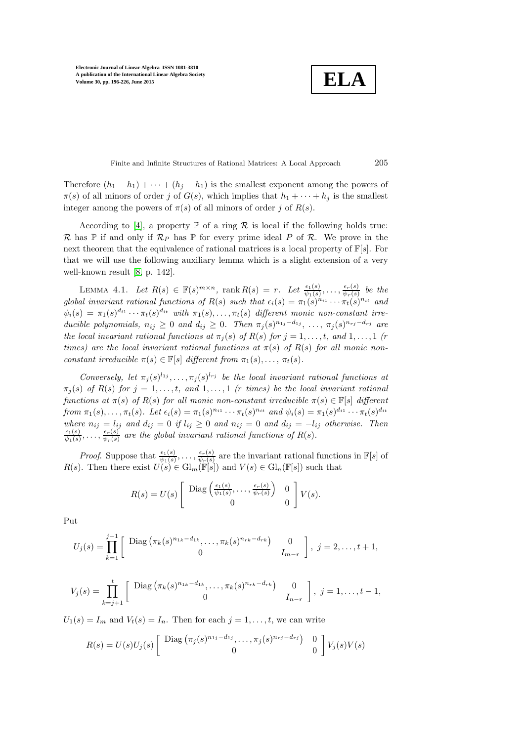**ELA**

Finite and Infinite Structures of Rational Matrices: A Local Approach 205

Therefore  $(h_1 - h_1) + \cdots + (h_j - h_1)$  is the smallest exponent among the powers of  $\pi(s)$  of all minors of order j of  $G(s)$ , which implies that  $h_1 + \cdots + h_j$  is the smallest integer among the powers of  $\pi(s)$  of all minors of order j of  $R(s)$ .

According to [\[4\]](#page-29-3), a property  $\mathbb P$  of a ring  $\mathcal R$  is local if the following holds true: R has  $\mathbb P$  if and only if  $\mathcal R_P$  has  $\mathbb P$  for every prime ideal P of R. We prove in the next theorem that the equivalence of rational matrices is a local property of  $\mathbb{F}[s]$ . For that we will use the following auxiliary lemma which is a slight extension of a very well-known result [\[8,](#page-30-20) p. 142].

LEMMA 4.1. Let  $R(s) \in \mathbb{F}(s)^{m \times n}$ , rank  $R(s) = r$ . Let  $\frac{\epsilon_1(s)}{\psi_1(s)}, \ldots, \frac{\epsilon_r(s)}{\psi_r(s)}$  $\frac{\epsilon_r(s)}{\psi_r(s)}$  be the global invariant rational functions of  $R(s)$  such that  $\epsilon_i(s) = \pi_1(s)^{n_{i1}} \cdots \pi_t(s)^{n_{it}}$  and  $\psi_i(s) = \pi_1(s)^{d_{i1}} \cdots \pi_t(s)^{d_{it}}$  with  $\pi_1(s), \ldots, \pi_t(s)$  different monic non-constant irreducible polynomials,  $n_{ij} \geq 0$  and  $d_{ij} \geq 0$ . Then  $\pi_j(s)^{n_{1j}-d_{1j}}, \ldots, \pi_j(s)^{n_{rj}-d_{rj}}$  are the local invariant rational functions at  $\pi_i(s)$  of  $R(s)$  for  $j = 1, \ldots, t$ , and  $1, \ldots, 1$  (r times) are the local invariant rational functions at  $\pi(s)$  of  $R(s)$  for all monic nonconstant irreducible  $\pi(s) \in \mathbb{F}[s]$  different from  $\pi_1(s), \ldots, \pi_t(s)$ .

Conversely, let  $\pi_j(s)^{l_{1j}}, \ldots, \pi_j(s)^{l_{rj}}$  be the local invariant rational functions at  $\pi_j(s)$  of  $R(s)$  for  $j = 1, \ldots, t$ , and  $1, \ldots, 1$  (r times) be the local invariant rational functions at  $\pi(s)$  of  $R(s)$  for all monic non-constant irreducible  $\pi(s) \in \mathbb{F}[s]$  different from  $\pi_1(s), \ldots, \pi_t(s)$ . Let  $\epsilon_i(s) = \pi_1(s)^{n_{i1}} \cdots \pi_t(s)^{n_{it}}$  and  $\psi_i(s) = \pi_1(s)^{d_{i1}} \cdots \pi_t(s)^{d_{it}}$ where  $n_{ij} = l_{ij}$  and  $d_{ij} = 0$  if  $l_{ij} \ge 0$  and  $n_{ij} = 0$  and  $d_{ij} = -l_{ij}$  otherwise. Then<br> $\frac{\epsilon_1(s)}{s}$  are the global invariant rational functions of  $B(s)$  $\frac{\epsilon_1(s)}{\psi_1(s)}, \ldots, \frac{\epsilon_r(s)}{\psi_r(s)}$  $\frac{\epsilon_r(s)}{\psi_r(s)}$  are the global invariant rational functions of  $R(s)$ .

*Proof.* Suppose that  $\frac{\epsilon_1(s)}{\psi_1(s)}, \ldots, \frac{\epsilon_r(s)}{\psi_r(s)}$  $\frac{\epsilon_r(s)}{\psi_r(s)}$  are the invariant rational functions in  $\mathbb{F}[s]$  of  $R(s)$ . Then there exist  $U(s) \in Gl_m(\mathbb{F}[s])$  and  $V(s) \in Gl_n(\mathbb{F}[s])$  such that

$$
R(s) = U(s) \left[ \begin{array}{cc} \text{Diag}\left(\frac{\epsilon_1(s)}{\psi_1(s)}, \dots, \frac{\epsilon_r(s)}{\psi_r(s)}\right) & 0\\ 0 & 0 \end{array} \right] V(s).
$$

Put

$$
U_j(s) = \prod_{k=1}^{j-1} \left[ \begin{array}{cc} \text{Diag}\left(\pi_k(s)^{n_{1k}-d_{1k}}, \dots, \pi_k(s)^{n_{rk}-d_{rk}}\right) & 0\\ 0 & I_{m-r} \end{array} \right], \ j = 2, \dots, t+1,
$$

$$
V_j(s) = \prod_{k=j+1}^t \left[ \begin{array}{cc} \text{Diag}\left(\pi_k(s)^{n_{1k}-d_{1k}}, \dots, \pi_k(s)^{n_{rk}-d_{rk}}\right) & 0\\ 0 & I_{n-r} \end{array} \right], \ j=1,\dots, t-1,
$$

 $U_1(s) = I_m$  and  $V_t(s) = I_n$ . Then for each  $j = 1, \ldots, t$ , we can write

$$
R(s) = U(s)U_j(s) \left[ \begin{array}{cc} \text{Diag}\left(\pi_j(s)^{n_{1j}-d_{1j}}, \dots, \pi_j(s)^{n_{rj}-d_{rj}}\right) & 0\\ 0 & 0 \end{array} \right] V_j(s)V(s)
$$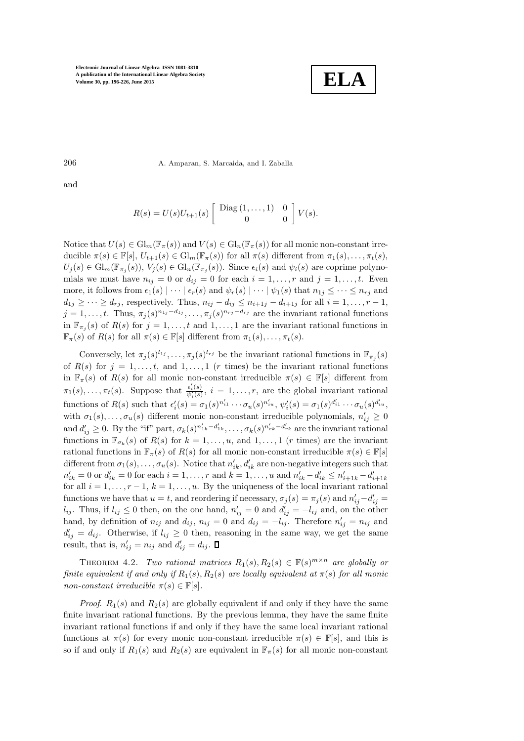

206 A. Amparan, S. Marcaida, and I. Zaballa

and

$$
R(s) = U(s)U_{t+1}(s) \left[ \begin{array}{cc} \text{Diag}(1,\ldots,1) & 0 \\ 0 & 0 \end{array} \right] V(s).
$$

Notice that  $U(s) \in \mathrm{Gl}_m(\mathbb{F}_{\pi}(s))$  and  $V(s) \in \mathrm{Gl}_n(\mathbb{F}_{\pi}(s))$  for all monic non-constant irreducible  $\pi(s) \in \mathbb{F}[s], U_{t+1}(s) \in \mathrm{Gl}_m(\mathbb{F}_{\pi}(s))$  for all  $\pi(s)$  different from  $\pi_1(s), \ldots, \pi_t(s)$ ,  $U_j(s) \in \mathrm{Gl}_m(\mathbb{F}_{\pi_j}(s)), V_j(s) \in \mathrm{Gl}_n(\mathbb{F}_{\pi_j}(s)).$  Since  $\epsilon_i(s)$  and  $\psi_i(s)$  are coprime polynomials we must have  $n_{ij} = 0$  or  $d_{ij} = 0$  for each  $i = 1, \ldots, r$  and  $j = 1, \ldots, t$ . Even more, it follows from  $\epsilon_1(s) \mid \cdots \mid \epsilon_r(s)$  and  $\psi_r(s) \mid \cdots \mid \psi_1(s)$  that  $n_{1j} \leq \cdots \leq n_{rj}$  and  $d_{1j} \geq \cdots \geq d_{rj}$ , respectively. Thus,  $n_{ij} - d_{ij} \leq n_{i+1j} - d_{i+1j}$  for all  $i = 1, \ldots, r-1$ ,  $j = 1, \ldots, t$ . Thus,  $\pi_j(s)^{n_{1j}-d_{1j}}, \ldots, \pi_j(s)^{n_{rj}-d_{rj}}$  are the invariant rational functions in  $\mathbb{F}_{\pi_j}(s)$  of  $R(s)$  for  $j = 1, \ldots, t$  and  $1, \ldots, 1$  are the invariant rational functions in  $\mathbb{F}_{\pi}(s)$  of  $R(s)$  for all  $\pi(s) \in \mathbb{F}[s]$  different from  $\pi_1(s), \ldots, \pi_t(s)$ .

Conversely, let  $\pi_j(s)^{l_{1j}}, \ldots, \pi_j(s)^{l_{rj}}$  be the invariant rational functions in  $\mathbb{F}_{\pi_j}(s)$ of  $R(s)$  for  $j = 1, \ldots, t$ , and  $1, \ldots, 1$  (r times) be the invariant rational functions in  $\mathbb{F}_{\pi}(s)$  of  $R(s)$  for all monic non-constant irreducible  $\pi(s) \in \mathbb{F}[s]$  different from  $\pi_1(s), \ldots, \pi_t(s)$ . Suppose that  $\frac{\epsilon'_i(s)}{\psi'_i(s)}$ ,  $i = 1, \ldots, r$ , are the global invariant rational functions of  $R(s)$  such that  $\epsilon'_i(s) = \sigma_1(s)^{n'_{i1}} \cdots \sigma_u(s)^{n'_{iu}}, \psi'_i(s) = \sigma_1(s)^{d'_{i1}} \cdots \sigma_u(s)^{d'_{iu}}$ with  $\sigma_1(s), \ldots, \sigma_u(s)$  different monic non-constant irreducible polynomials,  $n'_{ij} \geq 0$ and  $d'_{ij} \geq 0$ . By the "if" part,  $\sigma_k(s)^{n'_{1k}-d'_{1k}}, \ldots, \sigma_k(s)^{n'_{rk}-d'_{rk}}$  are the invariant rational functions in  $\mathbb{F}_{\sigma_k}(s)$  of  $R(s)$  for  $k = 1, \ldots, u$ , and  $1, \ldots, 1$  (*r* times) are the invariant rational functions in  $\mathbb{F}_{\pi}(s)$  of  $R(s)$  for all monic non-constant irreducible  $\pi(s) \in \mathbb{F}[s]$ different from  $\sigma_1(s), \ldots, \sigma_u(s)$ . Notice that  $n'_{ik}, d'_{ik}$  are non-negative integers such that  $n'_{ik} = 0$  or  $d'_{ik} = 0$  for each  $i = 1, ..., r$  and  $k = 1, ..., u$  and  $n'_{ik} - d'_{ik} \le n'_{i+1k} - d'_{i+1k}$ for all  $i = 1, \ldots, r - 1, k = 1, \ldots, u$ . By the uniqueness of the local invariant rational functions we have that  $u = t$ , and reordering if necessary,  $\sigma_j(s) = \pi_j(s)$  and  $n'_{ij} - d'_{ij} =$  $l_{ij}$ . Thus, if  $l_{ij} \leq 0$  then, on the one hand,  $n'_{ij} = 0$  and  $d'_{ij} = -l_{ij}$  and, on the other hand, by definition of  $n_{ij}$  and  $d_{ij}$ ,  $n_{ij} = 0$  and  $d_{ij} = -l_{ij}$ . Therefore  $n'_{ij} = n_{ij}$  and  $d'_{ij} = d_{ij}$ . Otherwise, if  $l_{ij} \geq 0$  then, reasoning in the same way, we get the same result, that is,  $n'_{ij} = n_{ij}$  and  $d'_{ij} = d_{ij}$ .

THEOREM 4.2. Two rational matrices  $R_1(s), R_2(s) \in \mathbb{F}(s)^{m \times n}$  are globally or finite equivalent if and only if  $R_1(s)$ ,  $R_2(s)$  are locally equivalent at  $\pi(s)$  for all monic non-constant irreducible  $\pi(s) \in \mathbb{F}[s]$ .

*Proof.*  $R_1(s)$  and  $R_2(s)$  are globally equivalent if and only if they have the same finite invariant rational functions. By the previous lemma, they have the same finite invariant rational functions if and only if they have the same local invariant rational functions at  $\pi(s)$  for every monic non-constant irreducible  $\pi(s) \in \mathbb{F}[s]$ , and this is so if and only if  $R_1(s)$  and  $R_2(s)$  are equivalent in  $\mathbb{F}_{\pi}(s)$  for all monic non-constant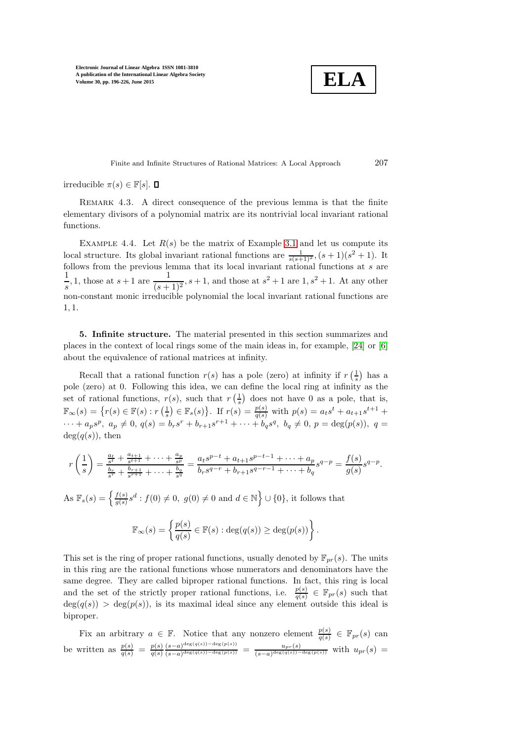$$
\boxed{\textbf{ELA}}
$$

Finite and Infinite Structures of Rational Matrices: A Local Approach 207

irreducible  $\pi(s) \in \mathbb{F}[s]$ .  $\Box$ 

REMARK 4.3. A direct consequence of the previous lemma is that the finite elementary divisors of a polynomial matrix are its nontrivial local invariant rational functions.

EXAMPLE 4.4. Let  $R(s)$  be the matrix of Example [3.1](#page-6-0) and let us compute its local structure. Its global invariant rational functions are  $\frac{1}{s(s+1)^2}$ ,  $(s+1)(s^2+1)$ . It follows from the previous lemma that its local invariant rational functions at s are 1  $\frac{1}{s}$ , 1, those at  $s+1$  are  $\frac{1}{(s+1)}$  $\frac{1}{(s+1)^2}$ , s + 1, and those at  $s^2 + 1$  are  $1, s^2 + 1$ . At any other non-constant monic irreducible polynomial the local invariant rational functions are 1, 1.

<span id="page-11-0"></span>5. Infinite structure. The material presented in this section summarizes and places in the context of local rings some of the main ideas in, for example, [\[24\]](#page-30-19) or [\[6\]](#page-30-5) about the equivalence of rational matrices at infinity.

Recall that a rational function  $r(s)$  has a pole (zero) at infinity if  $r\left(\frac{1}{s}\right)$  has a pole (zero) at 0. Following this idea, we can define the local ring at infinity as the set of rational functions,  $r(s)$ , such that  $r\left(\frac{1}{s}\right)$  does not have 0 as a pole, that is,  $\mathbb{F}_{\infty}(s) = \{r(s) \in \mathbb{F}(s) : r(\frac{1}{s}) \in \mathbb{F}_{s}(s)\}.$  If  $r(s) = \frac{p(s)}{q(s)}$  with  $p(s) = a_{t}s^{t} + a_{t+1}s^{t+1} +$  $\cdots + a_p s^p$ ,  $a_p \neq 0$ ,  $q(s) = b_r s^r + b_{r+1} s^{r+1} + \cdots + b_q s^q$ ,  $b_q \neq 0$ ,  $p = \deg(p(s))$ ,  $q =$  $deg(q(s))$ , then

$$
r\left(\frac{1}{s}\right) = \frac{\frac{a_t}{s^t} + \frac{a_{t+1}}{s^{t+1}} + \dots + \frac{a_p}{s^p}}{\frac{b_r}{s^r} + \frac{b_{r+1}}{s^{r+1}} + \dots + \frac{b_q}{s^q}} = \frac{a_t s^{p-t} + a_{t+1} s^{p-t-1} + \dots + a_p}{b_r s^{q-r} + b_{r+1} s^{q-r-1} + \dots + b_q} s^{q-p} = \frac{f(s)}{g(s)} s^{q-p}.
$$

As  $\mathbb{F}_s(s) = \left\{ \frac{f(s)}{g(s)} \right\}$  $\frac{f(s)}{g(s)}s^d : f(0) \neq 0, g(0) \neq 0$  and  $d \in \mathbb{N}$   $\Big\} \cup \{0\}$ , it follows that

$$
\mathbb{F}_{\infty}(s) = \left\{ \frac{p(s)}{q(s)} \in \mathbb{F}(s) : \deg(q(s)) \ge \deg(p(s)) \right\}.
$$

This set is the ring of proper rational functions, usually denoted by  $\mathbb{F}_{pr}(s)$ . The units in this ring are the rational functions whose numerators and denominators have the same degree. They are called biproper rational functions. In fact, this ring is local and the set of the strictly proper rational functions, i.e.  $\frac{p(s)}{q(s)} \in \mathbb{F}_{pr}(s)$  such that  $deg(q(s)) > deg(p(s))$ , is its maximal ideal since any element outside this ideal is biproper.

Fix an arbitrary  $a \in \mathbb{F}$ . Notice that any nonzero element  $\frac{p(s)}{q(s)} \in \mathbb{F}_{pr}(s)$  can be written as  $\frac{p(s)}{q(s)} = \frac{p(s)}{q(s)}$  $q(s)$  $(s-a)^{\deg(q(s))-\deg(p(s))}$  $\frac{(s-a)^{\deg(q(s))-\deg(p(s))}}{(s-a)^{\deg(q(s))-\deg(p(s))}} = \frac{u_{pr}(s)}{(s-a)^{\deg(q(s))-\deg(q(s))}}$  $\frac{u_{pr}(s)}{(s-a)^{\deg(q(s))-\deg(p(s))}}$  with  $u_{pr}(s)$  =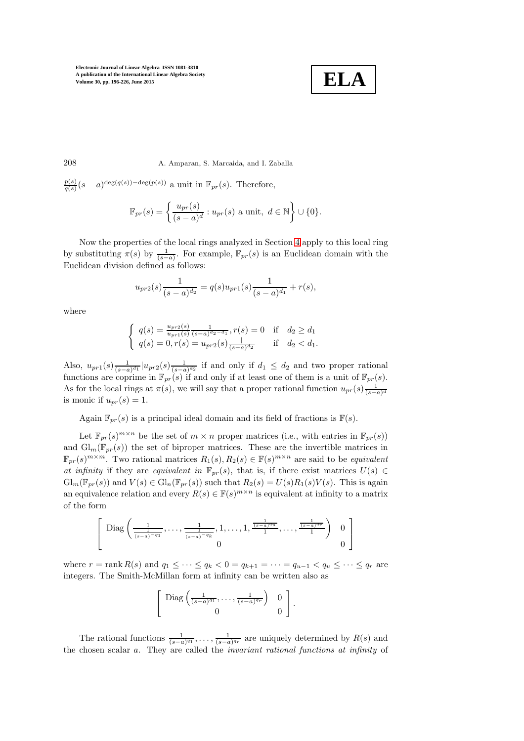

208 A. Amparan, S. Marcaida, and I. Zaballa

 $p(s)$  $\frac{p(s)}{q(s)}(s-a)^{\deg(q(s))-\deg(p(s))}$  a unit in  $\mathbb{F}_{pr}(s)$ . Therefore,

$$
\mathbb{F}_{pr}(s) = \left\{ \frac{u_{pr}(s)}{(s-a)^d} : u_{pr}(s) \text{ a unit, } d \in \mathbb{N} \right\} \cup \{0\}.
$$

Now the properties of the local rings analyzed in Section [4](#page-7-0) apply to this local ring by substituting  $\pi(s)$  by  $\frac{1}{(s-a)}$ . For example,  $\mathbb{F}_{pr}(s)$  is an Euclidean domain with the Euclidean division defined as follows:

$$
u_{pr2}(s)\frac{1}{(s-a)^{d_2}} = q(s)u_{pr1}(s)\frac{1}{(s-a)^{d_1}} + r(s),
$$

where

$$
\begin{cases} q(s) = \frac{u_{pr2}(s)}{u_{pr1}(s)} \frac{1}{(s-a)^{d_2 - d_1}}, r(s) = 0 & \text{if } d_2 \ge d_1\\ q(s) = 0, r(s) = u_{pr2}(s) \frac{1}{(s-a)^{d_2}} & \text{if } d_2 < d_1. \end{cases}
$$

Also,  $u_{pr1}(s) \frac{1}{(s-a)^{d_1}} |u_{pr2}(s) \frac{1}{(s-a)^{d_2}}$  if and only if  $d_1 \leq d_2$  and two proper rational functions are coprime in  $\mathbb{F}_{pr}(s)$  if and only if at least one of them is a unit of  $\mathbb{F}_{pr}(s)$ . As for the local rings at  $\pi(s)$ , we will say that a proper rational function  $u_{pr}(s) \frac{1}{(s-a)^d}$ is monic if  $u_{pr}(s) = 1$ .

Again  $\mathbb{F}_{pr}(s)$  is a principal ideal domain and its field of fractions is  $\mathbb{F}(s)$ .

Let  $\mathbb{F}_{pr}(s)^{m \times n}$  be the set of  $m \times n$  proper matrices (i.e., with entries in  $\mathbb{F}_{pr}(s)$ ) and  $\mathrm{Gl}_m(\mathbb{F}_{pr}(s))$  the set of biproper matrices. These are the invertible matrices in  $\mathbb{F}_{pr}(s)^{m \times m}$ . Two rational matrices  $R_1(s), R_2(s) \in \mathbb{F}(s)^{m \times n}$  are said to be *equivalent* at infinity if they are equivalent in  $\mathbb{F}_{pr}(s)$ , that is, if there exist matrices  $U(s) \in$  $\mathrm{Gl}_m(\mathbb{F}_{pr}(s))$  and  $V(s) \in \mathrm{Gl}_n(\mathbb{F}_{pr}(s))$  such that  $R_2(s) = U(s)R_1(s)V(s)$ . This is again an equivalence relation and every  $R(s) \in \mathbb{F}(s)^{m \times n}$  is equivalent at infinity to a matrix of the form

$$
\left[\begin{array}{c}\text{Diag}\left(\frac{1}{\frac{1}{(s-a)^{-q_1}}},\ldots,\frac{1}{\frac{1}{(s-a)^{-q_k}}},1,\ldots,1,\frac{\frac{1}{(s-a)^{q_u}}}{1},\ldots,\frac{\frac{1}{(s-a)^{q_r}}}{1}\right) & 0\\0 & 0\end{array}\right]
$$

where  $r = \text{rank } R(s)$  and  $q_1 \leq \cdots \leq q_k < 0 = q_{k+1} = \cdots = q_{u-1} < q_u \leq \cdots \leq q_r$  are integers. The Smith-McMillan form at infinity can be written also as

$$
\left[\begin{array}{cc} \text{Diag}\left(\frac{1}{(s-a)^{q_1}},\ldots,\frac{1}{(s-a)^{q_r}}\right) & 0\\ 0 & 0 \end{array}\right].
$$

The rational functions  $\frac{1}{(s-a)^{q_1}}, \ldots, \frac{1}{(s-a)^{q_r}}$  are uniquely determined by  $R(s)$  and the chosen scalar a. They are called the invariant rational functions at infinity of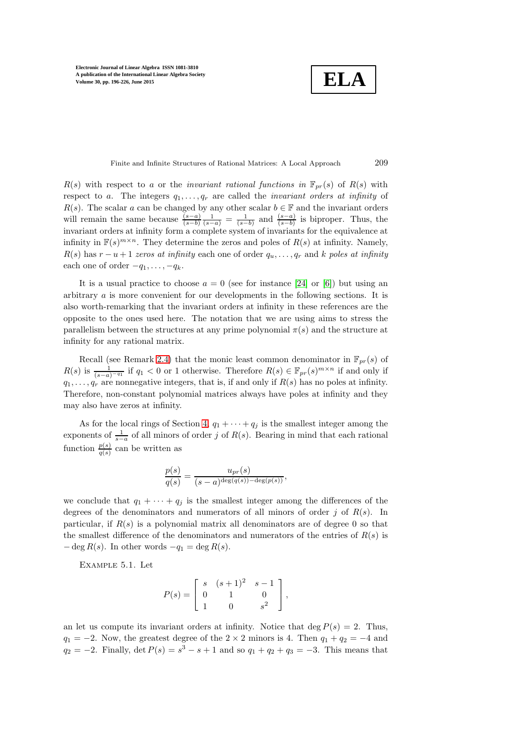**ELA**

Finite and Infinite Structures of Rational Matrices: A Local Approach 209

 $R(s)$  with respect to a or the *invariant rational functions in*  $\mathbb{F}_{pr}(s)$  of  $R(s)$  with respect to a. The integers  $q_1, \ldots, q_r$  are called the *invariant orders at infinity* of  $R(s)$ . The scalar a can be changed by any other scalar  $b \in \mathbb{F}$  and the invariant orders will remain the same because  $\frac{(s-a)}{(s-b)}\frac{1}{(s-a)} = \frac{1}{(s-b)}$  and  $\frac{(s-a)}{(s-b)}$  is biproper. Thus, the invariant orders at infinity form a complete system of invariants for the equivalence at infinity in  $\mathbb{F}(s)^{m \times n}$ . They determine the zeros and poles of  $R(s)$  at infinity. Namely,  $R(s)$  has  $r - u + 1$  zeros at infinity each one of order  $q_u, \ldots, q_r$  and k poles at infinity each one of order  $-q_1, \ldots, -q_k$ .

It is a usual practice to choose  $a = 0$  (see for instance [\[24\]](#page-30-19) or [\[6\]](#page-30-5)) but using an arbitrary a is more convenient for our developments in the following sections. It is also worth-remarking that the invariant orders at infinity in these references are the opposite to the ones used here. The notation that we are using aims to stress the parallelism between the structures at any prime polynomial  $\pi(s)$  and the structure at infinity for any rational matrix.

Recall (see Remark [2.4\)](#page-4-2) that the monic least common denominator in  $\mathbb{F}_{pr}(s)$  of  $R(s)$  is  $\frac{1}{(s-a)^{-q_1}}$  if  $q_1 < 0$  or 1 otherwise. Therefore  $R(s) \in \mathbb{F}_{pr}(s)^{m \times n}$  if and only if  $q_1, \ldots, q_r$  are nonnegative integers, that is, if and only if  $R(s)$  has no poles at infinity. Therefore, non-constant polynomial matrices always have poles at infinity and they may also have zeros at infinity.

As for the local rings of Section [4,](#page-7-0)  $q_1 + \cdots + q_j$  is the smallest integer among the exponents of  $\frac{1}{s-a}$  of all minors of order j of  $R(s)$ . Bearing in mind that each rational function  $\frac{p(s)}{q(s)}$  can be written as

$$
\frac{p(s)}{q(s)} = \frac{u_{pr}(s)}{(s-a)^{\deg(q(s)) - \deg(p(s))}},
$$

we conclude that  $q_1 + \cdots + q_j$  is the smallest integer among the differences of the degrees of the denominators and numerators of all minors of order j of  $R(s)$ . In particular, if  $R(s)$  is a polynomial matrix all denominators are of degree 0 so that the smallest difference of the denominators and numerators of the entries of  $R(s)$  is  $-\deg R(s)$ . In other words  $-q_1 = \deg R(s)$ .

Example 5.1. Let

$$
P(s) = \begin{bmatrix} s & (s+1)^2 & s-1 \\ 0 & 1 & 0 \\ 1 & 0 & s^2 \end{bmatrix},
$$

an let us compute its invariant orders at infinity. Notice that deg  $P(s) = 2$ . Thus,  $q_1 = -2$ . Now, the greatest degree of the 2 × 2 minors is 4. Then  $q_1 + q_2 = -4$  and  $q_2 = -2$ . Finally, det  $P(s) = s^3 - s + 1$  and so  $q_1 + q_2 + q_3 = -3$ . This means that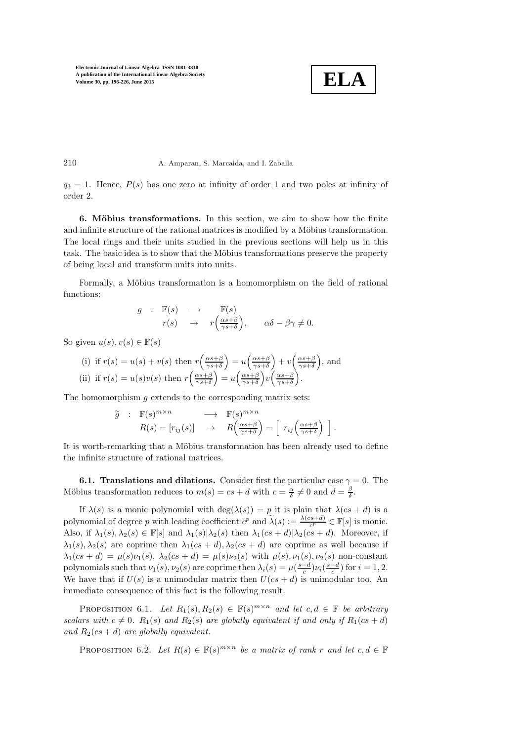

### 210 A. Amparan, S. Marcaida, and I. Zaballa

<span id="page-14-0"></span> $q_3 = 1$ . Hence,  $P(s)$  has one zero at infinity of order 1 and two poles at infinity of order 2.

6. Möbius transformations. In this section, we aim to show how the finite and infinite structure of the rational matrices is modified by a Möbius transformation. The local rings and their units studied in the previous sections will help us in this task. The basic idea is to show that the Möbius transformations preserve the property of being local and transform units into units.

Formally, a Möbius transformation is a homomorphism on the field of rational functions:

$$
g : \mathbb{F}(s) \longrightarrow \mathbb{F}(s)
$$
  

$$
r(s) \rightarrow r\left(\frac{\alpha s + \beta}{\gamma s + \delta}\right), \quad \alpha \delta - \beta \gamma \neq 0.
$$

So given  $u(s), v(s) \in \mathbb{F}(s)$ 

(i) if 
$$
r(s) = u(s) + v(s)
$$
 then  $r\left(\frac{\alpha s + \beta}{\gamma s + \delta}\right) = u\left(\frac{\alpha s + \beta}{\gamma s + \delta}\right) + v\left(\frac{\alpha s + \beta}{\gamma s + \delta}\right)$ , and  
\n(ii) if  $r(s) = u(s)v(s)$  then  $r\left(\frac{\alpha s + \beta}{\gamma s + \delta}\right) = u\left(\frac{\alpha s + \beta}{\gamma s + \delta}\right)v\left(\frac{\alpha s + \beta}{\gamma s + \delta}\right)$ .

The homomorphism  $g$  extends to the corresponding matrix sets:

$$
\widetilde{g} : \mathbb{F}(s)^{m \times n} \longrightarrow \mathbb{F}(s)^{m \times n} \nR(s) = [r_{ij}(s)] \rightarrow R\left(\frac{\alpha s + \beta}{\gamma s + \delta}\right) = \left[r_{ij}\left(\frac{\alpha s + \beta}{\gamma s + \delta}\right)\right].
$$

It is worth-remarking that a Möbius transformation has been already used to define the infinite structure of rational matrices.

**6.1. Translations and dilations.** Consider first the particular case  $\gamma = 0$ . The Möbius transformation reduces to  $m(s) = cs + d$  with  $c = \frac{\alpha}{\delta} \neq 0$  and  $d = \frac{\beta}{\delta}$ .

If  $\lambda(s)$  is a monic polynomial with  $\deg(\lambda(s)) = p$  it is plain that  $\lambda(cs + d)$  is a polynomial of degree p with leading coefficient  $c^p$  and  $\tilde{\lambda}(s) := \frac{\lambda(c s + d)}{c^p} \in \mathbb{F}[s]$  is monic. Also, if  $\lambda_1(s), \lambda_2(s) \in \mathbb{F}[s]$  and  $\lambda_1(s) | \lambda_2(s)$  then  $\lambda_1(cs + d) | \lambda_2(cs + d)$ . Moreover, if  $\lambda_1(s), \lambda_2(s)$  are coprime then  $\lambda_1(cs+d), \lambda_2(cs+d)$  are coprime as well because if  $\lambda_1(cs+d) = \mu(s)\nu_1(s), \lambda_2(cs+d) = \mu(s)\nu_2(s)$  with  $\mu(s), \nu_1(s), \nu_2(s)$  non-constant polynomials such that  $\nu_1(s)$ ,  $\nu_2(s)$  are coprime then  $\lambda_i(s) = \mu(\frac{s-d}{c})\nu_i(\frac{s-d}{c})$  for  $i = 1, 2$ . We have that if  $U(s)$  is a unimodular matrix then  $U(cs + d)$  is unimodular too. An immediate consequence of this fact is the following result.

PROPOSITION 6.1. Let  $R_1(s), R_2(s) \in \mathbb{F}(s)^{m \times n}$  and let  $c, d \in \mathbb{F}$  be arbitrary scalars with  $c \neq 0$ .  $R_1(s)$  and  $R_2(s)$  are globally equivalent if and only if  $R_1(cs + d)$ and  $R_2(\text{cs} + d)$  are globally equivalent.

<span id="page-14-1"></span>PROPOSITION 6.2. Let  $R(s) \in \mathbb{F}(s)^{m \times n}$  be a matrix of rank r and let  $c, d \in \mathbb{F}$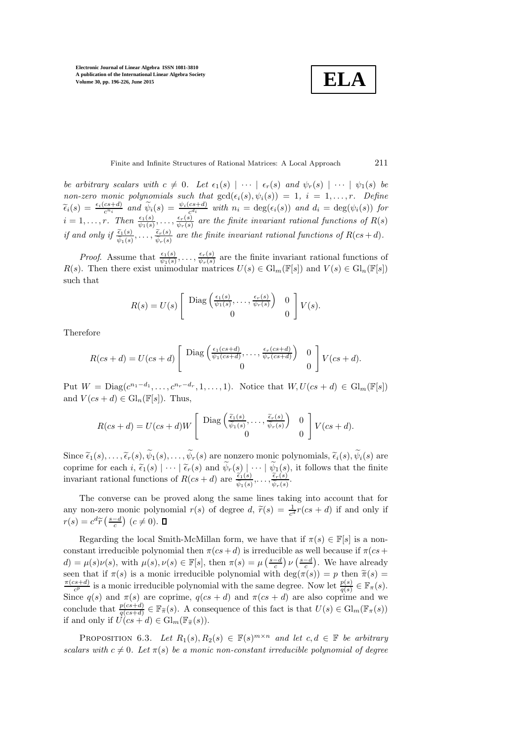**ELA**

Finite and Infinite Structures of Rational Matrices: A Local Approach 211

be arbitrary scalars with  $c \neq 0$ . Let  $\epsilon_1(s) \mid \cdots \mid \epsilon_r(s)$  and  $\psi_r(s) \mid \cdots \mid \psi_1(s)$  be non-zero monic polynomials such that  $gcd(\epsilon_i(s), \psi_i(s)) = 1, i = 1, \ldots, r$ . Define  $\widetilde{\epsilon}_i(s) = \frac{\epsilon_i (cs+d)}{c^{n_i}}$  and  $\widetilde{\psi}_i(s) = \frac{\psi_i (cs+d)}{c^{d_i}}$  with  $n_i = \deg(\epsilon_i(s))$  and  $d_i = \deg(\psi_i(s))$  for  $i=1,\ldots,r.$  Then  $\frac{\epsilon_1(s)}{\psi_1(s)},\ldots,\frac{\epsilon_r(s)}{\psi_r(s)}$  $\frac{e_r(s)}{\psi_r(s)}$  are the finite invariant rational functions of  $R(s)$ if and only if  $\frac{\tilde{\epsilon}_1(s)}{\tilde{\psi}_1(s)}, \ldots, \frac{\tilde{\epsilon}_r(s)}{\tilde{\psi}_r(s)}$  are the finite invariant rational functions of  $R(cs+d)$ .

*Proof.* Assume that  $\frac{\epsilon_1(s)}{\psi_1(s)}, \ldots, \frac{\epsilon_r(s)}{\psi_r(s)}$  $\frac{e_r(s)}{\psi_r(s)}$  are the finite invariant rational functions of  $R(s)$ . Then there exist unimodular matrices  $U(s) \in Gl_m(\mathbb{F}[s])$  and  $V(s) \in Gl_n(\mathbb{F}[s])$ such that

$$
R(s) = U(s) \left[ \begin{array}{cc} \text{Diag}\left(\frac{\epsilon_1(s)}{\psi_1(s)}, \dots, \frac{\epsilon_r(s)}{\psi_r(s)}\right) & 0\\ 0 & 0 \end{array} \right] V(s).
$$

Therefore

$$
R(cs+d) = U(cs+d) \left[ \begin{array}{c} \text{Diag}\left(\frac{\epsilon_1(cs+d)}{\psi_1(cs+d)}, \dots, \frac{\epsilon_r(cs+d)}{\psi_r(cs+d)} \right) & 0\\ 0 & 0 \end{array} \right] V(cs+d).
$$

Put  $W = \text{Diag}(c^{n_1-d_1}, \ldots, c^{n_r-d_r}, 1, \ldots, 1)$ . Notice that  $W, U(cs + d) \in \text{Gl}_m(\mathbb{F}[s])$ and  $V(cs + d) \in Gl_n(\mathbb{F}[s])$ . Thus,

$$
R(cs+d) = U(cs+d)W \left[ \begin{array}{c} \text{Diag}\left(\frac{\tilde{\epsilon}_1(s)}{\tilde{\psi}_1(s)},\ldots,\frac{\tilde{\epsilon}_r(s)}{\tilde{\psi}_r(s)}\right) & 0\\ 0 & 0 \end{array} \right] V(cs+d).
$$

Since  $\tilde{\epsilon}_1(s), \ldots, \tilde{\epsilon}_r(s), \tilde{\psi}_1(s), \ldots, \tilde{\psi}_r(s)$  are nonzero monic polynomials,  $\tilde{\epsilon}_i(s), \tilde{\psi}_i(s)$  are coprime for each  $i$ ,  $\tilde{\epsilon}_1(s) \mid \cdots \mid \tilde{\epsilon}_r(s)$  and  $\psi_r(s) \mid \cdots \mid \psi_1(s)$ , it follows that the finite invariant rational functions of  $R(cs + d)$  are  $\frac{\tilde{\epsilon}_1(s)}{\tilde{\psi}_1(s)}, \ldots, \frac{\tilde{\epsilon}_r(s)}{\tilde{\psi}_r(s)}$ .  $\frac{\epsilon_r(s)}{\widetilde{\psi}_r(s)}$ .

The converse can be proved along the same lines taking into account that for any non-zero monic polynomial  $r(s)$  of degree d,  $\tilde{r}(s) = \frac{1}{c^d}r(cs + d)$  if and only if  $r(s) = c^d \widetilde{r} \left( \frac{s-d}{c} \right) (c \neq 0).$ 

Regarding the local Smith-McMillan form, we have that if  $\pi(s) \in \mathbb{F}[s]$  is a nonconstant irreducible polynomial then  $\pi (cs + d)$  is irreducible as well because if  $\pi (cs + d)$  $d) = \mu(s)\nu(s)$ , with  $\mu(s), \nu(s) \in \mathbb{F}[s]$ , then  $\pi(s) = \mu\left(\frac{s-d}{c}\right)\nu\left(\frac{s-d}{c}\right)$ . We have already seen that if  $\pi(s)$  is a monic irreducible polynomial with  $\deg(\pi(s)) = p$  then  $\tilde{\pi}(s) =$  $\pi(c s+d)$  $\frac{ds+d)}{c^p}$  is a monic irreducible polynomial with the same degree. Now let  $\frac{p(s)}{q(s)} \in \mathbb{F}_{\pi}(s)$ . Since  $q(s)$  and  $\pi(s)$  are coprime,  $q(cs + d)$  and  $\pi(cs + d)$  are also coprime and we conclude that  $\frac{p(cs+d)}{q(cs+d)} \in \mathbb{F}_{\widetilde{\pi}}(s)$ . A consequence of this fact is that  $U(s) \in \mathrm{Gl}_m(\mathbb{F}_{\pi}(s))$ if and only if  $U(c s + d) \in Gl_m(\mathbb{F}_{\widetilde{\pi}}(s)).$ 

<span id="page-15-0"></span>PROPOSITION 6.3. Let  $R_1(s), R_2(s) \in \mathbb{F}(s)^{m \times n}$  and let  $c, d \in \mathbb{F}$  be arbitrary scalars with  $c \neq 0$ . Let  $\pi(s)$  be a monic non-constant irreducible polynomial of degree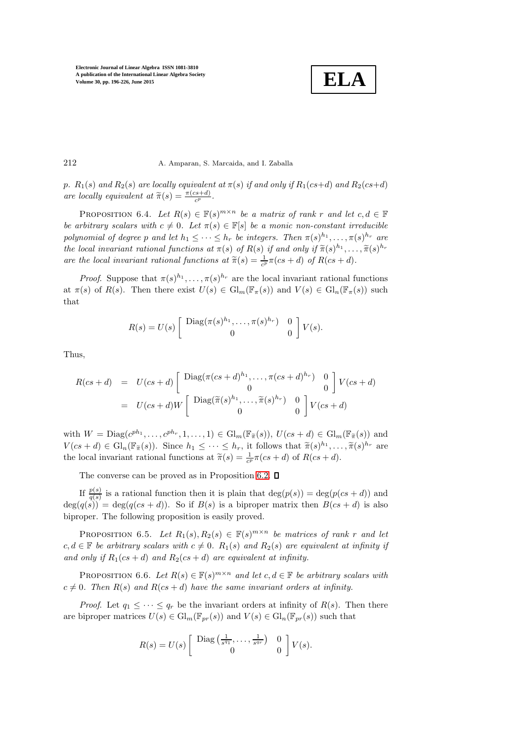

#### 212 A. Amparan, S. Marcaida, and I. Zaballa

<span id="page-16-1"></span>p.  $R_1(s)$  and  $R_2(s)$  are locally equivalent at  $\pi(s)$  if and only if  $R_1(cs+d)$  and  $R_2(cs+d)$ are locally equivalent at  $\widetilde{\pi}(s) = \frac{\pi (cs+d)}{c^p}$ .

PROPOSITION 6.4. Let  $R(s) \in \mathbb{F}(s)^{m \times n}$  be a matrix of rank r and let  $c, d \in \mathbb{F}$ be arbitrary scalars with  $c \neq 0$ . Let  $\pi(s) \in \mathbb{F}[s]$  be a monic non-constant irreducible polynomial of degree p and let  $h_1 \leq \cdots \leq h_r$  be integers. Then  $\pi(s)^{h_1}, \ldots, \pi(s)^{h_r}$  are the local invariant rational functions at  $\pi(s)$  of  $R(s)$  if and only if  $\widetilde{\pi}(s)^{h_1}, \ldots, \widetilde{\pi}(s)^{h_r}$ are the local invariant rational functions at  $\tilde{\pi}(s) = \frac{1}{c^p} \pi (cs + d)$  of  $R(cs + d)$ .

*Proof.* Suppose that  $\pi(s)^{h_1}, \ldots, \pi(s)^{h_r}$  are the local invariant rational functions at  $\pi(s)$  of  $R(s)$ . Then there exist  $U(s) \in \mathrm{Gl}_m(\mathbb{F}_{\pi}(s))$  and  $V(s) \in \mathrm{Gl}_n(\mathbb{F}_{\pi}(s))$  such that

$$
R(s) = U(s) \left[ \begin{array}{cc} \text{Diag}(\pi(s)^{h_1}, \dots, \pi(s)^{h_r}) & 0 \\ 0 & 0 \end{array} \right] V(s).
$$

Thus,

$$
R(cs+d) = U(cs+d) \begin{bmatrix} \text{Diag}(\pi(cs+d)^{h_1}, \dots, \pi(cs+d)^{h_r}) & 0\\ 0 & 0 \end{bmatrix} V(cs+d)
$$

$$
= U(cs+d)W \begin{bmatrix} \text{Diag}(\widetilde{\pi}(s)^{h_1}, \dots, \widetilde{\pi}(s)^{h_r}) & 0\\ 0 & 0 \end{bmatrix} V(cs+d)
$$

with  $W = \text{Diag}(c^{ph_1}, \ldots, c^{ph_r}, 1, \ldots, 1) \in \text{Gl}_m(\mathbb{F}_{\widetilde{\pi}}(s)), U(cs+d) \in \text{Gl}_m(\mathbb{F}_{\widetilde{\pi}}(s))$  and  $V(cs+d) \in \mathrm{Gl}_n(\mathbb{F}_{\widetilde{\pi}}(s))$ . Since  $h_1 \leq \cdots \leq h_r$ , it follows that  $\widetilde{\pi}(s)^{h_1}, \ldots, \widetilde{\pi}(s)^{h_r}$  are the local invariant rational functions at  $\tilde{\pi}(s) = \frac{1}{c^p} \pi (cs + d)$  of  $R(cs + d)$ .

The converse can be proved as in Proposition [6.2.](#page-14-1)  $\Box$ 

If  $\frac{p(s)}{q(s)}$  is a rational function then it is plain that  $\deg(p(s)) = \deg(p(cs + d))$  and  $deg(q(s)) = deg(q(cs + d))$ . So if  $B(s)$  is a biproper matrix then  $B(cs + d)$  is also biproper. The following proposition is easily proved.

<span id="page-16-0"></span>PROPOSITION 6.5. Let  $R_1(s), R_2(s) \in \mathbb{F}(s)^{m \times n}$  be matrices of rank r and let  $c, d \in \mathbb{F}$  be arbitrary scalars with  $c \neq 0$ .  $R_1(s)$  and  $R_2(s)$  are equivalent at infinity if and only if  $R_1(cs + d)$  and  $R_2(cs + d)$  are equivalent at infinity.

<span id="page-16-2"></span>PROPOSITION 6.6. Let  $R(s) \in \mathbb{F}(s)^{m \times n}$  and let  $c, d \in \mathbb{F}$  be arbitrary scalars with  $c \neq 0$ . Then  $R(s)$  and  $R(c s + d)$  have the same invariant orders at infinity.

*Proof.* Let  $q_1 \leq \cdots \leq q_r$  be the invariant orders at infinity of  $R(s)$ . Then there are biproper matrices  $U(s) \in \mathrm{Gl}_m(\mathbb{F}_{pr}(s))$  and  $V(s) \in \mathrm{Gl}_n(\mathbb{F}_{pr}(s))$  such that

$$
R(s) = U(s) \left[ \begin{array}{cc} \text{Diag}\left(\frac{1}{s^{q_1}}, \ldots, \frac{1}{s^{q_r}}\right) & 0 \\ 0 & 0 \end{array} \right] V(s).
$$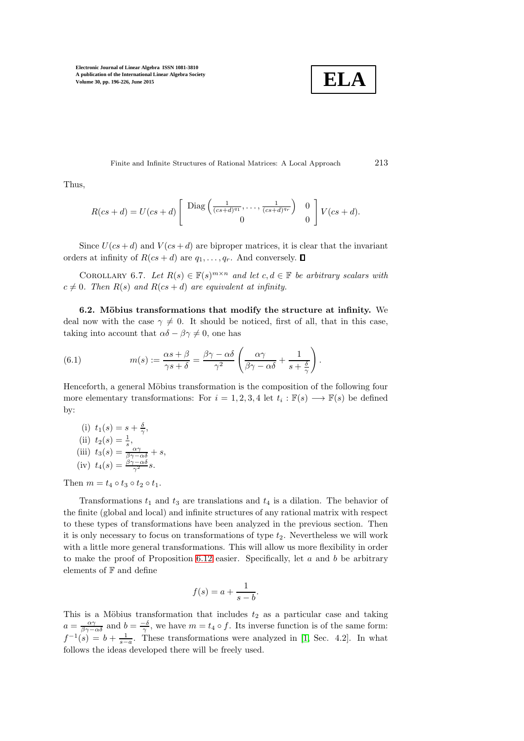

Finite and Infinite Structures of Rational Matrices: A Local Approach 213

Thus,

$$
R(cs+d) = U(cs+d) \left[ \begin{array}{c} \text{Diag}\left(\frac{1}{(cs+d)^{q_1}},\ldots,\frac{1}{(cs+d)^{q_r}}\right) & 0\\ 0 & 0 \end{array} \right] V(cs+d).
$$

Since  $U(c s+d)$  and  $V(c s+d)$  are biproper matrices, it is clear that the invariant orders at infinity of  $R(cs + d)$  are  $q_1, \ldots, q_r$ . And conversely.  $\Box$ 

COROLLARY 6.7. Let  $R(s) \in \mathbb{F}(s)^{m \times n}$  and let  $c, d \in \mathbb{F}$  be arbitrary scalars with  $c \neq 0$ . Then  $R(s)$  and  $R(cs + d)$  are equivalent at infinity.

6.2. Möbius transformations that modify the structure at infinity. We deal now with the case  $\gamma \neq 0$ . It should be noticed, first of all, that in this case, taking into account that  $\alpha\delta - \beta\gamma \neq 0$ , one has

<span id="page-17-0"></span>(6.1) 
$$
m(s) := \frac{\alpha s + \beta}{\gamma s + \delta} = \frac{\beta \gamma - \alpha \delta}{\gamma^2} \left( \frac{\alpha \gamma}{\beta \gamma - \alpha \delta} + \frac{1}{s + \frac{\delta}{\gamma}} \right).
$$

Henceforth, a general Möbius transformation is the composition of the following four more elementary transformations: For  $i = 1, 2, 3, 4$  let  $t_i : \mathbb{F}(s) \longrightarrow \mathbb{F}(s)$  be defined by:

(i) 
$$
t_1(s) = s + \frac{\delta}{\gamma}
$$
,  
\n(ii)  $t_2(s) = \frac{1}{s}$ ,  
\n(iii)  $t_3(s) = \frac{\alpha\gamma}{\beta\gamma - \alpha\delta} + s$ ,  
\n(iv)  $t_4(s) = \frac{\beta\gamma - \alpha\delta}{\gamma^2} s$ .

Then  $m = t_4 \circ t_3 \circ t_2 \circ t_1$ .

Transformations  $t_1$  and  $t_3$  are translations and  $t_4$  is a dilation. The behavior of the finite (global and local) and infinite structures of any rational matrix with respect to these types of transformations have been analyzed in the previous section. Then it is only necessary to focus on transformations of type  $t_2$ . Nevertheless we will work with a little more general transformations. This will allow us more flexibility in order to make the proof of Proposition  $6.12$  easier. Specifically, let  $a$  and  $b$  be arbitrary elements of  $\mathbb F$  and define

$$
f(s) = a + \frac{1}{s - b}.
$$

This is a Möbius transformation that includes  $t_2$  as a particular case and taking  $a = \frac{\alpha \gamma}{\beta \gamma - \alpha \delta}$  and  $b = \frac{-\delta}{\gamma}$ , we have  $m = t_4 \circ f$ . Its inverse function is of the same form:  $f^{-1}(s) = b + \frac{1}{s-a}$ . These transformations were analyzed in [\[1,](#page-29-4) Sec. 4.2]. In what follows the ideas developed there will be freely used.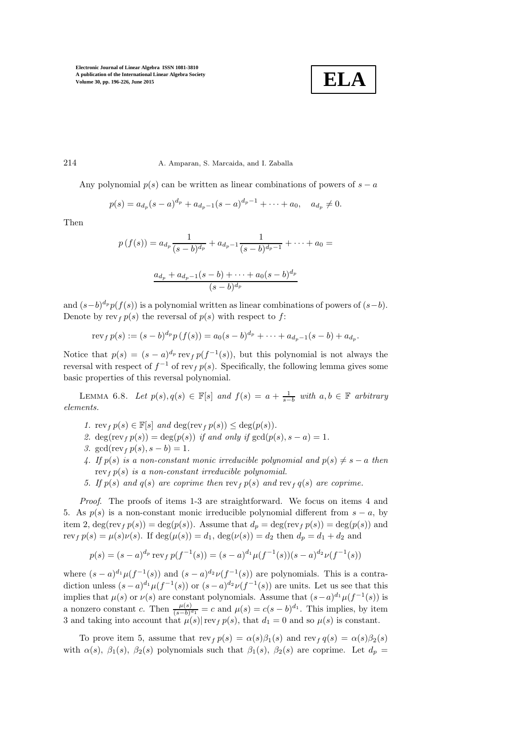

## 214 A. Amparan, S. Marcaida, and I. Zaballa

Any polynomial  $p(s)$  can be written as linear combinations of powers of  $s - a$ 

$$
p(s) = a_{d_p}(s-a)^{d_p} + a_{d_p-1}(s-a)^{d_p-1} + \cdots + a_0, \quad a_{d_p} \neq 0.
$$

Then

$$
p(f(s)) = a_{d_p} \frac{1}{(s-b)^{d_p}} + a_{d_p-1} \frac{1}{(s-b)^{d_p-1}} + \dots + a_0 =
$$

$$
\frac{a_{d_p} + a_{d_p-1}(s-b) + \dots + a_0(s-b)^{d_p}}{(s-b)^{d_p}}
$$

and  $(s-b)^{d_p}p(f(s))$  is a polynomial written as linear combinations of powers of  $(s-b)$ . Denote by  $\operatorname{rev}_f p(s)$  the reversal of  $p(s)$  with respect to f:

$$
\text{rev}_f \, p(s) := (s-b)^{d_p} p(f(s)) = a_0 (s-b)^{d_p} + \dots + a_{d_p-1} (s-b) + a_{d_p}.
$$

Notice that  $p(s) = (s-a)^{d_p} \text{rev}_f p(f^{-1}(s))$ , but this polynomial is not always the reversal with respect of  $f^{-1}$  of rev<sub>f</sub>  $p(s)$ . Specifically, the following lemma gives some basic properties of this reversal polynomial.

<span id="page-18-0"></span>LEMMA 6.8. Let  $p(s), q(s) \in \mathbb{F}[s]$  and  $f(s) = a + \frac{1}{s-b}$  with  $a, b \in \mathbb{F}$  arbitrary elements.

- 1.  $\operatorname{rev}_f p(s) \in \mathbb{F}[s]$  and  $\operatorname{deg}(\operatorname{rev}_f p(s)) \leq \operatorname{deg}(p(s)).$
- 2. deg(rev<sub>f</sub>  $p(s)$ ) = deg( $p(s)$ ) if and only if gcd( $p(s)$ ,  $s a$ ) = 1.
- 3. gcd(rev<sub>f</sub>  $p(s)$ ,  $s b$ ) = 1.
- 4. If  $p(s)$  is a non-constant monic irreducible polynomial and  $p(s) \neq s a$  then rev<sub>f</sub>  $p(s)$  is a non-constant irreducible polynomial.
- 5. If  $p(s)$  and  $q(s)$  are coprime then  $\text{rev}_f p(s)$  and  $\text{rev}_f q(s)$  are coprime.

Proof. The proofs of items 1-3 are straightforward. We focus on items 4 and 5. As  $p(s)$  is a non-constant monic irreducible polynomial different from  $s - a$ , by item 2,  $\deg(\text{rev}_f p(s)) = \deg(p(s))$ . Assume that  $d_p = \deg(\text{rev}_f p(s)) = \deg(p(s))$  and rev<sub>f</sub>  $p(s) = \mu(s)\nu(s)$ . If  $\deg(\mu(s)) = d_1$ ,  $\deg(\nu(s)) = d_2$  then  $d_p = d_1 + d_2$  and

$$
p(s) = (s - a)^{d_p} \operatorname{rev}_f p(f^{-1}(s)) = (s - a)^{d_1} \mu(f^{-1}(s))(s - a)^{d_2} \nu(f^{-1}(s))
$$

where  $(s-a)^{d_1}\mu(f^{-1}(s))$  and  $(s-a)^{d_2}\nu(f^{-1}(s))$  are polynomials. This is a contradiction unless  $(s-a)^{d_1}\mu(f^{-1}(s))$  or  $(s-a)^{d_2}\nu(f^{-1}(s))$  are units. Let us see that this implies that  $\mu(s)$  or  $\nu(s)$  are constant polynomials. Assume that  $(s-a)^{d_1}\mu(f^{-1}(s))$  is a nonzero constant c. Then  $\frac{\mu(s)}{(s-b)^{d_1}} = c$  and  $\mu(s) = c(s-b)^{d_1}$ . This implies, by item 3 and taking into account that  $\mu(s)|\text{rev}_f p(s)$ , that  $d_1 = 0$  and so  $\mu(s)$  is constant.

To prove item 5, assume that  $\operatorname{rev}_f p(s) = \alpha(s)\beta_1(s)$  and  $\operatorname{rev}_f q(s) = \alpha(s)\beta_2(s)$ with  $\alpha(s)$ ,  $\beta_1(s)$ ,  $\beta_2(s)$  polynomials such that  $\beta_1(s)$ ,  $\beta_2(s)$  are coprime. Let  $d_p =$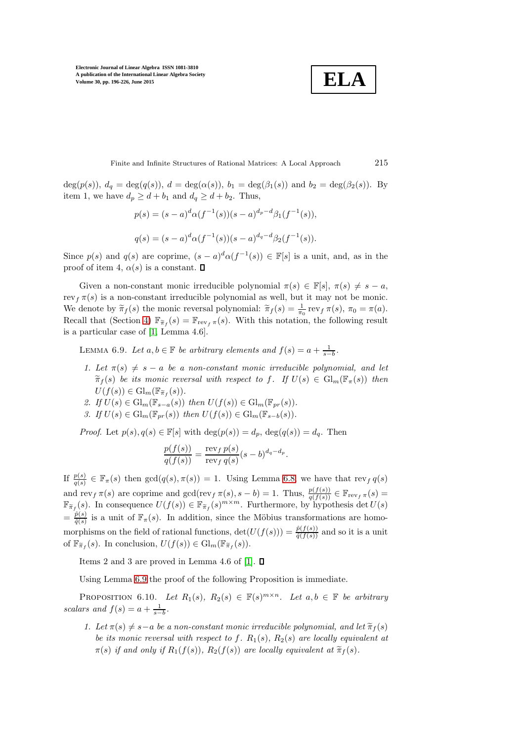$$
\boxed{\textbf{ELA}}
$$

Finite and Infinite Structures of Rational Matrices: A Local Approach 215

deg(p(s)),  $d_q = \deg(q(s))$ ,  $d = \deg(\alpha(s))$ ,  $b_1 = \deg(\beta_1(s))$  and  $b_2 = \deg(\beta_2(s))$ . By item 1, we have  $d_p \geq d + b_1$  and  $d_q \geq d + b_2$ . Thus,

$$
p(s) = (s-a)^d \alpha(f^{-1}(s))(s-a)^{d_p-d} \beta_1(f^{-1}(s)),
$$
  

$$
q(s) = (s-a)^d \alpha(f^{-1}(s))(s-a)^{d_q-d} \beta_2(f^{-1}(s)).
$$

Since  $p(s)$  and  $q(s)$  are coprime,  $(s-a)^d \alpha(f^{-1}(s)) \in \mathbb{F}[s]$  is a unit, and, as in the proof of item 4,  $\alpha(s)$  is a constant.  $\square$ 

Given a non-constant monic irreducible polynomial  $\pi(s) \in \mathbb{F}[s], \pi(s) \neq s - a$ , rev<sub>f</sub>  $\pi(s)$  is a non-constant irreducible polynomial as well, but it may not be monic. We denote by  $\widetilde{\pi}_f(s)$  the monic reversal polynomial:  $\widetilde{\pi}_f(s) = \frac{1}{\pi_0} \operatorname{rev}_f \pi(s)$ ,  $\pi_0 = \pi(a)$ . Recall that (Section [4\)](#page-7-0)  $\mathbb{F}_{\tilde{\pi}_f}(s) = \mathbb{F}_{\text{rev}_f \pi}(s)$ . With this notation, the following result is a particular case of [\[1,](#page-29-4) Lemma 4.6].

<span id="page-19-0"></span>LEMMA 6.9. Let  $a, b \in \mathbb{F}$  be arbitrary elements and  $f(s) = a + \frac{1}{s-b}$ .

- 1. Let  $\pi(s) \neq s a$  be a non-constant monic irreducible polynomial, and let  $\widetilde{\pi}_{f}(s)$  be its monic reversal with respect to f. If  $U(s) \in Gl_{m}(\mathbb{F}_{\pi}(s))$  then  $U(f(s)) \in \mathrm{Gl}_m(\mathbb{F}_{\widetilde{\pi}_f}(s)).$
- 2. If  $U(s) \in \mathrm{Gl}_m(\mathbb{F}_{s-a}(s))$  then  $U(f(s)) \in \mathrm{Gl}_m(\mathbb{F}_{pr}(s))$ .
- 3. If  $U(s) \in \mathrm{Gl}_m(\mathbb{F}_{nr}(s))$  then  $U(f(s)) \in \mathrm{Gl}_m(\mathbb{F}_{s-b}(s)).$

*Proof.* Let  $p(s), q(s) \in \mathbb{F}[s]$  with  $\deg(p(s)) = d_p$ ,  $\deg(q(s)) = d_q$ . Then

$$
\frac{p(f(s))}{q(f(s))} = \frac{\operatorname{rev}_f p(s)}{\operatorname{rev}_f q(s)} (s-b)^{d_q-d_p}.
$$

If  $\frac{p(s)}{q(s)} \in \mathbb{F}_{\pi}(s)$  then  $gcd(q(s), \pi(s)) = 1$ . Using Lemma [6.8,](#page-18-0) we have that  $rev_f q(s)$ and  $\text{rev}_f \pi(s)$  are coprime and  $\gcd(\text{rev}_f \pi(s), s - b) = 1$ . Thus,  $\frac{p(f(s))}{q(f(s))} \in \mathbb{F}_{\text{rev}_f \pi}(s)$  $\mathbb{F}_{\widetilde{\pi}_f}(s)$ . In consequence  $U(f(s)) \in \mathbb{F}_{\widetilde{\pi}_f}(s)^{m \times m}$ . Furthermore, by hypothesis det  $U(s)$  $=\frac{\hat{p}(s)}{\hat{q}(s)}$  $\frac{\hat{p}(s)}{\hat{q}(s)}$  is a unit of  $\mathbb{F}_{\pi}(s)$ . In addition, since the Möbius transformations are homomorphisms on the field of rational functions,  $\det(U(f(s))) = \frac{\hat{p}(f(s))}{\hat{q}(f(s))}$  and so it is a unit of  $\mathbb{F}_{\widetilde{\pi}_f}(s)$ . In conclusion,  $U(f(s)) \in \mathrm{Gl}_m(\mathbb{F}_{\widetilde{\pi}_f}(s))$ .

Items 2 and 3 are proved in Lemma 4.6 of [\[1\]](#page-29-4).  $\Box$ 

<span id="page-19-1"></span>Using Lemma [6.9](#page-19-0) the proof of the following Proposition is immediate.

PROPOSITION 6.10. Let  $R_1(s), R_2(s) \in \mathbb{F}(s)^{m \times n}$ . Let  $a, b \in \mathbb{F}$  be arbitrary scalars and  $f(s) = a + \frac{1}{s-b}$ .

1. Let  $\pi(s) \neq s-a$  be a non-constant monic irreducible polynomial, and let  $\tilde{\pi}_f(s)$ be its monic reversal with respect to f.  $R_1(s)$ ,  $R_2(s)$  are locally equivalent at  $\pi(s)$  if and only if  $R_1(f(s))$ ,  $R_2(f(s))$  are locally equivalent at  $\widetilde{\pi}_f(s)$ .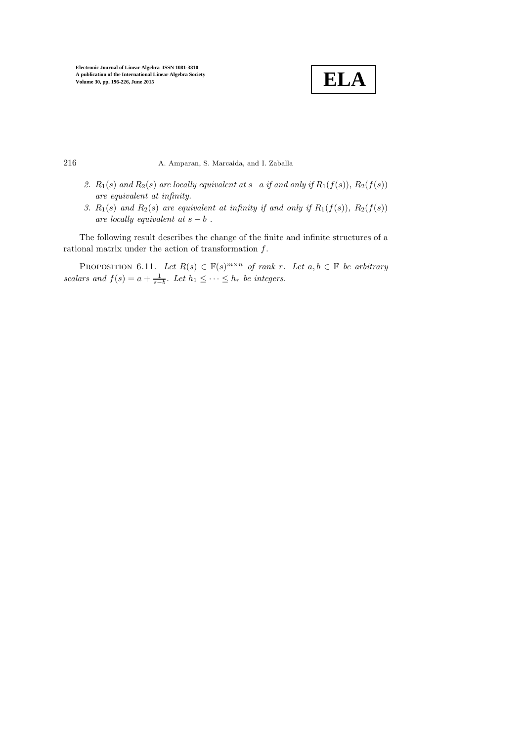

216 A. Amparan, S. Marcaida, and I. Zaballa

- 2.  $R_1(s)$  and  $R_2(s)$  are locally equivalent at s−a if and only if  $R_1(f(s))$ ,  $R_2(f(s))$ are equivalent at infinity.
- 3.  $R_1(s)$  and  $R_2(s)$  are equivalent at infinity if and only if  $R_1(f(s))$ ,  $R_2(f(s))$ are locally equivalent at  $s - b$ .

<span id="page-20-0"></span>The following result describes the change of the finite and infinite structures of a rational matrix under the action of transformation f.

PROPOSITION 6.11. Let  $R(s) \in \mathbb{F}(s)^{m \times n}$  of rank r. Let  $a, b \in \mathbb{F}$  be arbitrary scalars and  $f(s) = a + \frac{1}{s-b}$ . Let  $h_1 \leq \cdots \leq h_r$  be integers.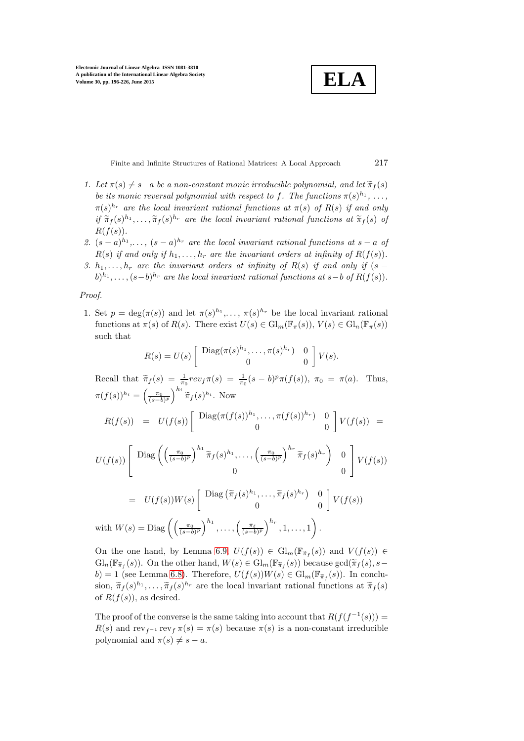$$
\overline{\textbf{ELA}}
$$

Finite and Infinite Structures of Rational Matrices: A Local Approach 217

- 1. Let  $\pi(s) \neq s-a$  be a non-constant monic irreducible polynomial, and let  $\tilde{\pi}_f(s)$ be its monic reversal polynomial with respect to f. The functions  $\pi(s)^{h_1}, \ldots,$  $\pi(s)^{h_r}$  are the local invariant rational functions at  $\pi(s)$  of  $R(s)$  if and only if  $\widetilde{\pi}_f(s)^{h_1}, \ldots, \widetilde{\pi}_f(s)^{h_r}$  are the local invariant rational functions at  $\widetilde{\pi}_f(s)$  of  $R(f(s))$ .
- 2.  $(s-a)^{h_1}, \ldots, (s-a)^{h_r}$  are the local invariant rational functions at  $s-a$  of  $R(s)$  if and only if  $h_1, \ldots, h_r$  are the invariant orders at infinity of  $R(f(s))$ .
- 3.  $h_1, \ldots, h_r$  are the invariant orders at infinity of  $R(s)$  if and only if  $(s (b)^{h_1}, \ldots, (s-b)^{h_r}$  are the local invariant rational functions at  $s-b$  of  $R(f(s))$ .

## Proof.

1. Set  $p = \deg(\pi(s))$  and let  $\pi(s)^{h_1}, \ldots, \pi(s)^{h_r}$  be the local invariant rational functions at  $\pi(s)$  of  $R(s)$ . There exist  $U(s) \in Gl_m(\mathbb{F}_{\pi}(s)), V(s) \in Gl_n(\mathbb{F}_{\pi}(s))$ such that

$$
R(s) = U(s) \left[ \begin{array}{cc} \text{Diag}(\pi(s)^{h_1}, \dots, \pi(s)^{h_r}) & 0 \\ 0 & 0 \end{array} \right] V(s).
$$

Recall that  $\tilde{\pi}_f(s) = \frac{1}{\pi_0} rev_f \pi(s) = \frac{1}{\pi_0} (s-b)^p \pi(f(s)), \pi_0 = \pi(a)$ . Thus,  $\pi(f(s))^{h_i} = \left(\frac{\pi_0}{(s-b)^p}\right)^{h_i} \widetilde{\pi}_f(s)^{h_i}$ . Now

$$
R(f(s)) = U(f(s)) \left[ \begin{array}{cc} \text{Diag}(\pi(f(s))^{h_1}, \dots, \pi(f(s))^{h_r}) & 0 \\ 0 & 0 \end{array} \right] V(f(s)) =
$$

$$
U(f(s))\left[\begin{array}{cc} \text{Diag}\left(\left(\frac{\pi_0}{(s-b)^p}\right)^{h_1}\widetilde{\pi}_f(s)^{h_1},\ldots,\left(\frac{\pi_0}{(s-b)^p}\right)^{h_r}\widetilde{\pi}_f(s)^{h_r}\right) & 0\\ 0 & 0 \end{array}\right]V(f(s))
$$

$$
= U(f(s))W(s) \begin{bmatrix} \text{Diag} \left( \tilde{\pi}_f(s)^{h_1}, \dots, \tilde{\pi}_f(s)^{h_r} \right) & 0 \\ 0 & 0 \end{bmatrix} V(f(s))
$$
  
with  $W(s) = \text{Diag} \left( \left( \frac{\pi_0}{(s-b)^p} \right)^{h_1}, \dots, \left( \frac{\pi_\ell}{(s-b)^p} \right)^{h_r}, 1, \dots, 1 \right).$ 

On the one hand, by Lemma [6.9,](#page-19-0)  $U(f(s)) \in Gl_m(\mathbb{F}_{\widetilde{\pi}_f}(s))$  and  $V(f(s)) \in$  $\mathrm{Gl}_n(\mathbb{F}_{\widetilde{\pi}_f}(s))$ . On the other hand,  $W(s) \in \mathrm{Gl}_m(\mathbb{F}_{\widetilde{\pi}_f}(s))$  because  $\gcd(\widetilde{\pi}_f(s), s-$ b) = 1 (see Lemma [6.8\)](#page-18-0). Therefore,  $U(f(s))W(s) \in \mathrm{Gl}_m(\mathbb{F}_{\widetilde{\pi}_f}(s))$ . In conclusion,  $\widetilde{\pi}_f(s)^{h_1}, \ldots, \widetilde{\pi}_f(s)^{h_r}$  are the local invariant rational functions at  $\widetilde{\pi}_f(s)$ of  $R(f(s))$ , as desired.

The proof of the converse is the same taking into account that  $R(f(f^{-1}(s))) =$  $R(s)$  and rev<sub>f</sub>-1 rev<sub>f</sub>  $\pi(s) = \pi(s)$  because  $\pi(s)$  is a non-constant irreducible polynomial and  $\pi(s) \neq s - a$ .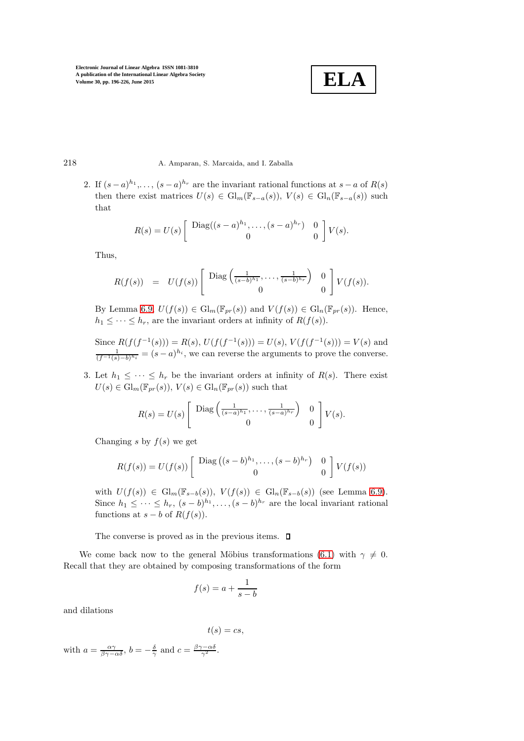

## 218 A. Amparan, S. Marcaida, and I. Zaballa

2. If  $(s-a)^{h_1}, \ldots, (s-a)^{h_r}$  are the invariant rational functions at  $s-a$  of  $R(s)$ then there exist matrices  $U(s) \in Gl_m(\mathbb{F}_{s-a}(s)), V(s) \in Gl_n(\mathbb{F}_{s-a}(s))$  such that

$$
R(s) = U(s) \left[ \begin{array}{cc} \text{Diag}((s-a)^{h_1}, \dots, (s-a)^{h_r}) & 0 \\ 0 & 0 \end{array} \right] V(s).
$$

Thus,

$$
R(f(s)) = U(f(s)) \left[ \begin{array}{cc} \text{Diag}\left(\frac{1}{(s-b)^{h_1}}, \ldots, \frac{1}{(s-b)^{h_r}}\right) & 0 \\ 0 & 0 \end{array} \right] V(f(s)).
$$

By Lemma [6.9,](#page-19-0)  $U(f(s)) \in \mathrm{Gl}_m(\mathbb{F}_{pr}(s))$  and  $V(f(s)) \in \mathrm{Gl}_n(\mathbb{F}_{pr}(s))$ . Hence,  $h_1 \leq \cdots \leq h_r$ , are the invariant orders at infinity of  $R(f(s))$ .

Since  $R(f(f^{-1}(s))) = R(s), U(f(f^{-1}(s))) = U(s), V(f(f^{-1}(s))) = V(s)$  and  $\frac{1}{(f^{-1}(s)-b)^{h_i}} = (s-a)^{h_i}$ , we can reverse the arguments to prove the converse.

3. Let  $h_1 \leq \cdots \leq h_r$  be the invariant orders at infinity of  $R(s)$ . There exist  $U(s) \in \mathrm{Gl}_m(\mathbb{F}_{pr}(s)), V(s) \in \mathrm{Gl}_n(\mathbb{F}_{pr}(s))$  such that

$$
R(s) = U(s) \left[ \begin{array}{cc} \text{Diag}\left(\frac{1}{(s-a)^{h_1}}, \dots, \frac{1}{(s-a)^{h_r}}\right) & 0\\ 0 & 0 \end{array} \right] V(s).
$$

Changing s by  $f(s)$  we get

$$
R(f(s)) = U(f(s)) \left[ \begin{array}{cc} \text{Diag}\left( (s-b)^{h_1}, \ldots, (s-b)^{h_r} \right) & 0\\ 0 & 0 \end{array} \right] V(f(s))
$$

with  $U(f(s)) \in Gl_m(\mathbb{F}_{s-b}(s)), V(f(s)) \in Gl_n(\mathbb{F}_{s-b}(s))$  (see Lemma [6.9\)](#page-19-0). Since  $h_1 \leq \cdots \leq h_r$ ,  $(s - b)^{h_1}, \ldots, (s - b)^{h_r}$  are the local invariant rational functions at  $s - b$  of  $R(f(s))$ .

The converse is proved as in the previous items.  $\Box$ 

We come back now to the general Möbius transformations [\(6.1\)](#page-17-0) with  $\gamma \neq 0$ . Recall that they are obtained by composing transformations of the form

$$
f(s) = a + \frac{1}{s - b}
$$

and dilations

$$
t(s)=cs,
$$

with  $a = \frac{\alpha \gamma}{\beta \gamma - \alpha \delta}$ ,  $b = -\frac{\delta}{\gamma}$  and  $c = \frac{\beta \gamma - \alpha \delta}{\gamma^2}$ .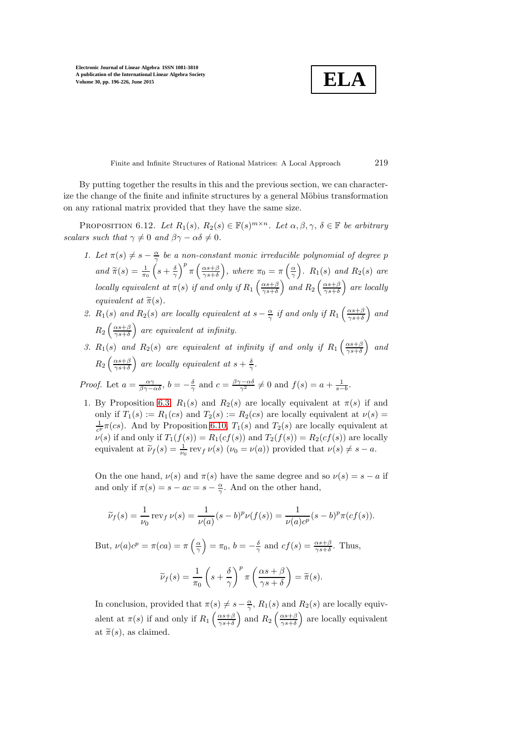<span id="page-23-0"></span>
$$
\boxed{\textbf{ELA}}
$$

Finite and Infinite Structures of Rational Matrices: A Local Approach 219

By putting together the results in this and the previous section, we can characterize the change of the finite and infinite structures by a general Möbius transformation on any rational matrix provided that they have the same size.

PROPOSITION 6.12. Let  $R_1(s)$ ,  $R_2(s) \in \mathbb{F}(s)^{m \times n}$ . Let  $\alpha, \beta, \gamma$ ,  $\delta \in \mathbb{F}$  be arbitrary scalars such that  $\gamma \neq 0$  and  $\beta \gamma - \alpha \delta \neq 0$ .

- 1. Let  $\pi(s) \neq s \frac{\alpha}{\gamma}$  be a non-constant monic irreducible polynomial of degree p and  $\widetilde{\pi}(s) = \frac{1}{\pi_0}$  $\left(s+\frac{\delta}{\gamma}\right)$  $\int^p \pi \left( \frac{\alpha s + \beta}{\gamma s + \delta} \right)$ ), where  $\pi_0 = \pi \left(\frac{\alpha}{\gamma}\right)$ ).  $R_1(s)$  and  $R_2(s)$  are locally equivalent at  $\pi(s)$  if and only if  $R_1\left(\frac{\alpha s+\beta}{\gamma s+\delta}\right)$ ) and  $R_2\left(\frac{\alpha s+\beta}{\gamma s+\delta}\right)$  are locally equivalent at  $\tilde{\pi}(s)$ .
- 2.  $R_1(s)$  and  $R_2(s)$  are locally equivalent at  $s-\frac{\alpha}{\gamma}$  if and only if  $R_1\left(\frac{\alpha s+\beta}{\gamma s+\delta}\right)$  $\big)$  and  $R_2\left(\frac{\alpha s+\beta}{\gamma s+\delta}\right)$ are equivalent at infinity.
- 3.  $R_1(s)$  and  $R_2(s)$  are equivalent at infinity if and only if  $R_1\left(\frac{\alpha s+\beta}{\gamma s+\delta}\right)$  $\big)$  and  $R_2\left(\frac{\alpha s+\beta}{\gamma s+\delta}\right)$ ) are locally equivalent at  $s + \frac{\delta}{\gamma}$ .

Proof. Let  $a = \frac{\alpha \gamma}{\beta \gamma - \alpha \delta}$ ,  $b = -\frac{\delta}{\gamma}$  and  $c = \frac{\beta \gamma - \alpha \delta}{\gamma^2} \neq 0$  and  $f(s) = a + \frac{1}{s - b}$ .

1. By Proposition [6.3,](#page-15-0)  $R_1(s)$  and  $R_2(s)$  are locally equivalent at  $\pi(s)$  if and only if  $T_1(s) := R_1(cs)$  and  $T_2(s) := R_2(cs)$  are locally equivalent at  $\nu(s) =$  $\frac{1}{c^p}\pi(cs)$ . And by Proposition [6.10,](#page-19-1)  $T_1(s)$  and  $T_2(s)$  are locally equivalent at  $\nu(s)$  if and only if  $T_1(f(s)) = R_1(cf(s))$  and  $T_2(f(s)) = R_2(cf(s))$  are locally equivalent at  $\widetilde{\nu}_f(s) = \frac{1}{\nu_0} \text{ rev}_f \nu(s)$   $(\nu_0 = \nu(a))$  provided that  $\nu(s) \neq s - a$ .

On the one hand,  $\nu(s)$  and  $\pi(s)$  have the same degree and so  $\nu(s) = s - a$  if and only if  $\pi(s) = s - ac = s - \frac{\alpha}{\gamma}$ . And on the other hand,

$$
\widetilde{\nu}_f(s) = \frac{1}{\nu_0} \operatorname{rev}_f \nu(s) = \frac{1}{\nu(a)} (s-b)^p \nu(f(s)) = \frac{1}{\nu(a)c^p} (s-b)^p \pi(cf(s)).
$$

But,  $\nu(a)c^p = \pi(ca) = \pi \left(\frac{\alpha}{\gamma}\right)$  $= \pi_0, b = -\frac{\delta}{\gamma}$  and  $cf(s) = \frac{\alpha s + \beta}{\gamma s + \delta}$ . Thus,

$$
\widetilde{\nu}_f(s) = \frac{1}{\pi_0} \left( s + \frac{\delta}{\gamma} \right)^p \pi \left( \frac{\alpha s + \beta}{\gamma s + \delta} \right) = \widetilde{\pi}(s).
$$

In conclusion, provided that  $\pi(s) \neq s - \frac{\alpha}{\gamma}$ ,  $R_1(s)$  and  $R_2(s)$  are locally equivalent at  $\pi(s)$  if and only if  $R_1\left(\frac{\alpha s+\beta}{\gamma s+\delta}\right)$ ) and  $R_2\left(\frac{\alpha s+\beta}{\gamma s+\delta}\right)$  are locally equivalent at  $\tilde{\pi}(s)$ , as claimed.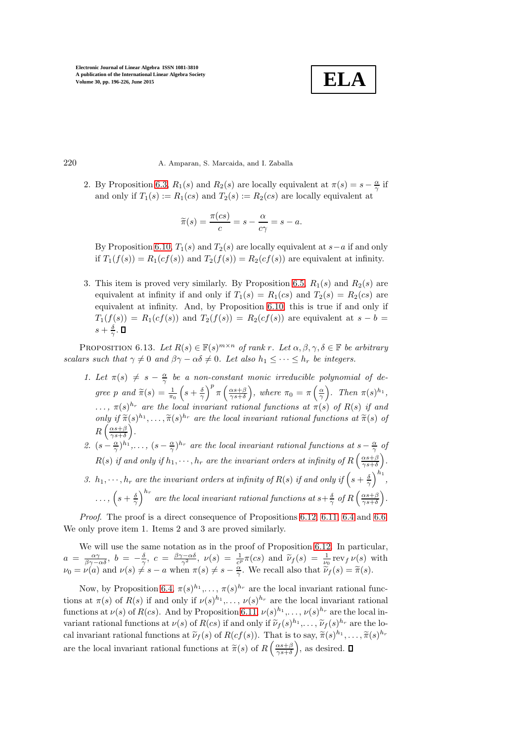

220 A. Amparan, S. Marcaida, and I. Zaballa

2. By Proposition [6.3,](#page-15-0)  $R_1(s)$  and  $R_2(s)$  are locally equivalent at  $\pi(s) = s - \frac{\alpha}{\gamma}$  if and only if  $T_1(s) := R_1(cs)$  and  $T_2(s) := R_2(cs)$  are locally equivalent at

$$
\widetilde{\pi}(s) = \frac{\pi(cs)}{c} = s - \frac{\alpha}{c\gamma} = s - a.
$$

By Proposition [6.10,](#page-19-1)  $T_1(s)$  and  $T_2(s)$  are locally equivalent at  $s-a$  if and only if  $T_1(f(s)) = R_1(cf(s))$  and  $T_2(f(s)) = R_2(cf(s))$  are equivalent at infinity.

3. This item is proved very similarly. By Proposition [6.5,](#page-16-0)  $R_1(s)$  and  $R_2(s)$  are equivalent at infinity if and only if  $T_1(s) = R_1(cs)$  and  $T_2(s) = R_2(cs)$  are equivalent at infinity. And, by Proposition [6.10,](#page-19-1) this is true if and only if  $T_1(f(s)) = R_1(cf(s))$  and  $T_2(f(s)) = R_2(cf(s))$  are equivalent at  $s - b =$  $s+\frac{\delta}{\gamma}$ .

<span id="page-24-0"></span>PROPOSITION 6.13. Let  $R(s) \in \mathbb{F}(s)^{m \times n}$  of rank r. Let  $\alpha, \beta, \gamma, \delta \in \mathbb{F}$  be arbitrary scalars such that  $\gamma \neq 0$  and  $\beta \gamma - \alpha \delta \neq 0$ . Let also  $h_1 \leq \cdots \leq h_r$  be integers.

- 1. Let  $\pi(s) \neq s \frac{\alpha}{\gamma}$  be a non-constant monic irreducible polynomial of degree p and  $\widetilde{\pi}(s) = \frac{1}{\pi_0}$  $\left(s+\frac{\delta}{\gamma}\right)^p \pi \left(\frac{\alpha s+\beta}{\gamma s+\delta}\right)$ ), where  $\pi_0 = \pi \left(\frac{\alpha}{\gamma}\right)$ . Then  $\pi(s)^{h_1}$ ,  $\ldots, \pi(s)^{h_r}$  are the local invariant rational functions at  $\pi(s)$  of  $R(s)$  if and only if  $\tilde{\pi}(s)^{h_1}, \ldots, \tilde{\pi}(s)^{h_r}$  are the local invariant rational functions at  $\tilde{\pi}(s)$  of  $R\left(\frac{\alpha s+\beta}{\gamma s+\delta}\right)$  $).$
- 2.  $(s-\frac{\alpha}{\gamma})^{h_1},\ldots,(s-\frac{\alpha}{\gamma})^{h_r}$  are the local invariant rational functions at  $s-\frac{\alpha}{\gamma}$  of  $R(s)$  if and only if  $h_1, \dots, h_r$  are the invariant orders at infinity of  $R\left(\frac{\alpha s+\beta}{\gamma s+\delta}\right)$  $\left(\frac{\alpha s+\beta}{\alpha s+\delta}\right)$ . 3.  $h_1, \dots, h_r$  are the invariant orders at infinity of  $R(s)$  if and only if  $\left(s + \frac{\delta}{\gamma}\right)^{h_1}$ ,  $\ldots, (s+\frac{\delta}{\gamma})$  $\int^{h_r}$  are the local invariant rational functions at  $s+\frac{\delta}{\gamma}$  of  $R\left(\frac{\alpha s+\beta}{\gamma s+\delta}\right)$ .

Proof. The proof is a direct consequence of Propositions [6.12,](#page-23-0) [6.11,](#page-20-0) [6.4](#page-16-1) and [6.6.](#page-16-2) We only prove item 1. Items 2 and 3 are proved similarly.

We will use the same notation as in the proof of Proposition [6.12.](#page-23-0) In particular,  $a = \frac{\alpha \gamma}{\beta \gamma - \alpha \delta}, b = -\frac{\delta}{\gamma}, c = \frac{\beta \gamma - \alpha \delta}{\gamma^2}, \nu(s) = \frac{1}{c^2} \pi (cs)$  and  $\widetilde{\nu}_f(s) = \frac{1}{c^2} \operatorname{rev}_f \nu(s)$  with  $\nu_0 = \nu(a)$  and  $\nu(s) \neq s - a$  when  $\pi(s) \neq s - \frac{\alpha}{\gamma}$ . We recall also that  $\tilde{\nu}_f(s) = \tilde{\pi}(s)$ .

Now, by Proposition [6.4,](#page-16-1)  $\pi(s)^{h_1}, \ldots, \pi(s)^{h_r}$  are the local invariant rational functions at  $\pi(s)$  of  $R(s)$  if and only if  $\nu(s)^{h_1}, \ldots, \nu(s)^{h_r}$  are the local invariant rational functions at  $\nu(s)$  of  $R(cs)$ . And by Proposition [6.11,](#page-20-0)  $\nu(s)^{h_1}, \ldots, \nu(s)^{h_r}$  are the local invariant rational functions at  $\nu(s)$  of  $R(cs)$  if and only if  $\tilde{\nu}_f(s)^{h_1}, \ldots, \tilde{\nu}_f(s)^{h_r}$  are the local invariant rational functions at  $\widetilde{\nu}_f(s)$  of  $R(cf(s))$ . That is to say,  $\widetilde{\pi}(s)^{h_1}, \ldots, \widetilde{\pi}(s)^{h_r}$ are the local invariant rational functions at  $\widetilde{\pi}(s)$  of  $R\left(\frac{\alpha s+\beta}{\gamma s+\delta}\right)$ , as desired.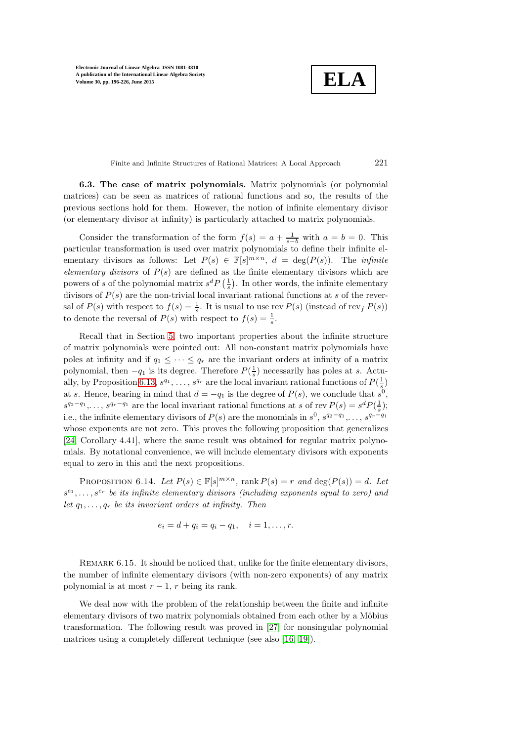**ELA**

Finite and Infinite Structures of Rational Matrices: A Local Approach 221

6.3. The case of matrix polynomials. Matrix polynomials (or polynomial matrices) can be seen as matrices of rational functions and so, the results of the previous sections hold for them. However, the notion of infinite elementary divisor (or elementary divisor at infinity) is particularly attached to matrix polynomials.

Consider the transformation of the form  $f(s) = a + \frac{1}{s-b}$  with  $a = b = 0$ . This particular transformation is used over matrix polynomials to define their infinite elementary divisors as follows: Let  $P(s) \in \mathbb{F}[s]^{m \times n}$ ,  $d = \deg(P(s))$ . The *infinite* elementary divisors of  $P(s)$  are defined as the finite elementary divisors which are powers of s of the polynomial matrix  $s^d P\left(\frac{1}{s}\right)$ . In other words, the infinite elementary divisors of  $P(s)$  are the non-trivial local invariant rational functions at s of the reversal of  $P(s)$  with respect to  $f(s) = \frac{1}{s}$ . It is usual to use rev  $P(s)$  (instead of rev<sub>f</sub>  $P(s)$ ) to denote the reversal of  $P(s)$  with respect to  $f(s) = \frac{1}{s}$ .

Recall that in Section [5,](#page-11-0) two important properties about the infinite structure of matrix polynomials were pointed out: All non-constant matrix polynomials have poles at infinity and if  $q_1 \leq \cdots \leq q_r$  are the invariant orders at infinity of a matrix polynomial, then  $-q_1$  is its degree. Therefore  $P(\frac{1}{s})$  necessarily has poles at s. Actu-ally, by Proposition [6.13,](#page-24-0)  $s^{q_1}, \ldots, s^{q_r}$  are the local invariant rational functions of  $P(\frac{1}{s})$ at s. Hence, bearing in mind that  $d = -q_1$  is the degree of  $P(s)$ , we conclude that  $s^0$ ,  $s^{q_2-q_1}, \ldots, s^{q_r-q_1}$  are the local invariant rational functions at s of rev  $P(s) = s^d P(\frac{1}{s});$ i.e., the infinite elementary divisors of  $P(s)$  are the monomials in  $s^0, s^{q_2-q_1}, \ldots, s^{q_r-q_1}$ whose exponents are not zero. This proves the following proposition that generalizes [\[24,](#page-30-19) Corollary 4.41], where the same result was obtained for regular matrix polynomials. By notational convenience, we will include elementary divisors with exponents equal to zero in this and the next propositions.

<span id="page-25-0"></span>PROPOSITION 6.14. Let  $P(s) \in \mathbb{F}[s]^{m \times n}$ , rank  $P(s) = r$  and  $\deg(P(s)) = d$ . Let  $s^{e_1}, \ldots, s^{e_r}$  be its infinite elementary divisors (including exponents equal to zero) and let  $q_1, \ldots, q_r$  be its invariant orders at infinity. Then

$$
e_i = d + q_i = q_i - q_1, \quad i = 1, \ldots, r.
$$

REMARK 6.15. It should be noticed that, unlike for the finite elementary divisors, the number of infinite elementary divisors (with non-zero exponents) of any matrix polynomial is at most  $r - 1$ , r being its rank.

We deal now with the problem of the relationship between the finite and infinite elementary divisors of two matrix polynomials obtained from each other by a Möbius transformation. The following result was proved in [\[27\]](#page-30-15) for nonsingular polynomial matrices using a completely different technique (see also [\[16,](#page-30-14) [19\]](#page-30-21)).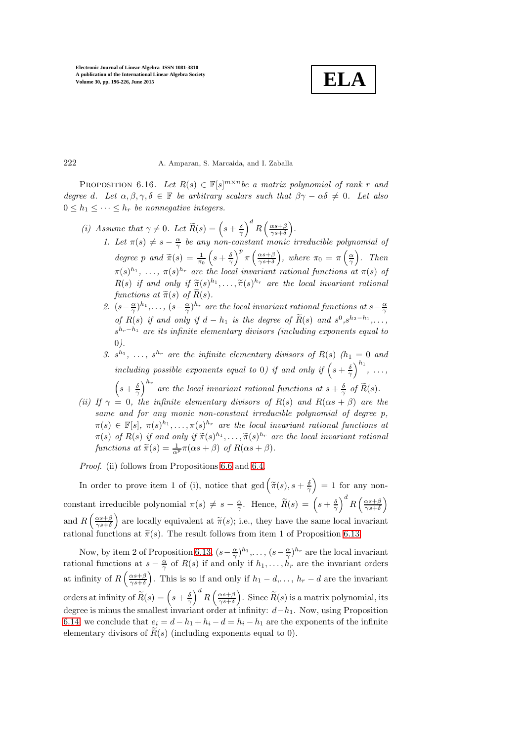**ELA**

### 222 A. Amparan, S. Marcaida, and I. Zaballa

PROPOSITION 6.16. Let  $R(s) \in \mathbb{F}[s]^{m \times n}$  be a matrix polynomial of rank r and degree d. Let  $\alpha, \beta, \gamma, \delta \in \mathbb{F}$  be arbitrary scalars such that  $\beta\gamma - \alpha\delta \neq 0$ . Let also  $0 \leq h_1 \leq \cdots \leq h_r$  be nonnegative integers.

- (i) Assume that  $\gamma \neq 0$ . Let  $\widetilde{R}(s) = \left(s + \frac{\delta}{\gamma}\right)$  $\int^d R\left(\frac{\alpha s+\beta}{\gamma s+\delta}\right)$  .
	- 1. Let  $\pi(s) \neq s \frac{\alpha}{\gamma}$  be any non-constant monic irreducible polynomial of degree p and  $\widetilde{\pi}(s) = \frac{1}{\pi_0}$  $\left(s+\frac{\delta}{\gamma}\right)$  $\int^p \pi \left( \frac{\alpha s + \beta}{\gamma s + \delta} \right)$ ), where  $\pi_0 = \pi \left(\frac{\alpha}{\gamma}\right)$  $\big)$ . Then  $\pi(s)^{h_1}, \ldots, \pi(s)^{h_r}$  are the local invariant rational functions at  $\pi(s)$  of  $R(s)$  if and only if  $\widetilde{\pi}(s)^{h_1}, \ldots, \widetilde{\pi}(s)^{h_r}$  are the local invariant rational functions at  $\widetilde{\pi}(s)$  of  $\widetilde{R}(s)$ .
	- 2.  $(s-\frac{\alpha}{\gamma})^{h_1},\ldots,(s-\frac{\alpha}{\gamma})^{h_r}$  are the local invariant rational functions at  $s-\frac{\alpha}{\gamma}$ of  $R(s)$  if and only if  $d - h_1$  is the degree of  $\tilde{R}(s)$  and  $s^0, s^{h_2 - h_1}, \ldots$ ,  $s^{h_r-h_1}$  are its infinite elementary divisors (including exponents equal to 0).
	- 3.  $s^{h_1}, \ldots, s^{h_r}$  are the infinite elementary divisors of  $R(s)$  ( $h_1 = 0$  and including possible exponents equal to 0) if and only if  $\left(s+\frac{\delta}{\gamma}\right)$  $\big)^{h_1}, \ldots,$

 $\left(s+\frac{\delta}{\gamma}\right)$  $\int^{h_r}$  are the local invariant rational functions at  $s + \frac{\delta}{\gamma}$  of  $\widetilde{R}(s)$ .

(ii) If  $\gamma = 0$ , the infinite elementary divisors of R(s) and R( $\alpha s + \beta$ ) are the same and for any monic non-constant irreducible polynomial of degree p,  $\pi(s) \in \mathbb{F}[s], \ \pi(s)^{h_1}, \ldots, \pi(s)^{h_r}$  are the local invariant rational functions at  $\pi(s)$  of  $R(s)$  if and only if  $\widetilde{\pi}(s)^{h_1}, \ldots, \widetilde{\pi}(s)^{h_r}$  are the local invariant rational functions at  $\widetilde{\pi}(s) = \frac{1}{\alpha^p} \pi(\alpha s + \beta)$  of  $R(\alpha s + \beta)$ .

Proof. (ii) follows from Propositions [6.6](#page-16-2) and [6.4.](#page-16-1)

In order to prove item 1 of (i), notice that  $gcd(\widetilde{\pi}(s), s + \frac{\delta}{\gamma})$  $= 1$  for any nonconstant irreducible polynomial  $\pi(s) \neq s - \frac{\alpha}{\gamma}$ . Hence,  $\widetilde{R}(s) = \left(s + \frac{\delta}{\gamma}\right)$  $\int^d R\left(\frac{\alpha s+\beta}{\gamma s+\delta}\right)$  $\overline{ }$ and  $R\left(\frac{\alpha s+\beta}{\gamma s+\delta}\right)$ ) are locally equivalent at  $\widetilde{\pi}(s)$ ; i.e., they have the same local invariant rational functions at  $\tilde{\pi}(s)$ . The result follows from item 1 of Proposition [6.13.](#page-24-0)

Now, by item 2 of Proposition [6.13,](#page-24-0)  $(s-\frac{\alpha}{\gamma})^{h_1}, \ldots, (s-\frac{\alpha}{\gamma})^{h_r}$  are the local invariant rational functions at  $s - \frac{\alpha}{\gamma}$  of  $R(s)$  if and only if  $h_1, \ldots, h_r$  are the invariant orders at infinity of  $R\left(\frac{\alpha s+\beta}{\gamma s+\delta}\right)$ ). This is so if and only if  $h_1 - d, \ldots, h_r - d$  are the invariant orders at infinity of  $\widetilde{R}(s) = \left(s + \frac{\delta}{\gamma}\right)$  $\int^d R\left(\frac{\alpha s+\beta}{\gamma s+\delta}\right)$ ). Since  $\widetilde{R}(s)$  is a matrix polynomial, its degree is minus the smallest invariant order at infinity:  $d-h_1$ . Now, using Proposition [6.14,](#page-25-0) we conclude that  $e_i = d - h_1 + h_i - d = h_i - h_1$  are the exponents of the infinite elementary divisors of  $\widetilde{R}(s)$  (including exponents equal to 0).

<span id="page-26-0"></span>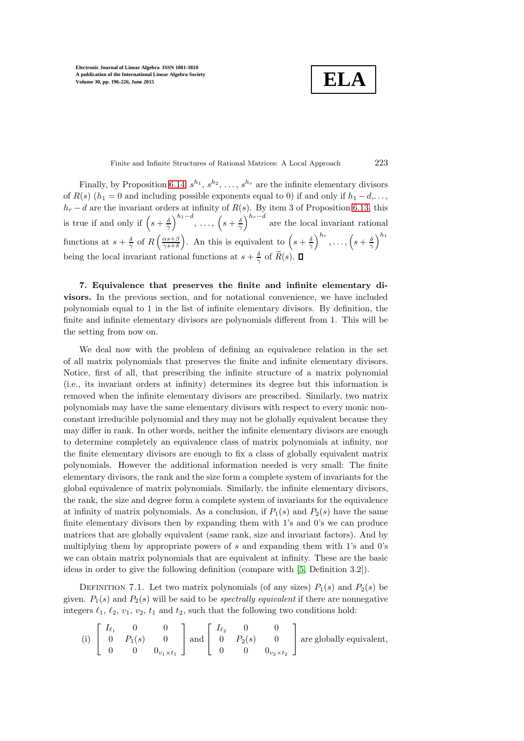**ELA**

Finite and Infinite Structures of Rational Matrices: A Local Approach 223

Finally, by Proposition [6.14,](#page-25-0)  $s^{h_1}, s^{h_2}, \ldots, s^{h_r}$  are the infinite elementary divisors of  $R(s)$  ( $h_1 = 0$  and including possible exponents equal to 0) if and only if  $h_1 - d, \ldots$ ,  $h_r - d$  are the invariant orders at infinity of  $R(s)$ . By item 3 of Proposition [6.13,](#page-24-0) this is true if and only if  $\left(s+\frac{\delta}{\gamma}\right)$  $\Big)^{h_1-d}, \ \ldots, \ \Big(s+\frac{\delta}{\gamma}\Big)$  $\int_{0}^{h_r-d}$  are the local invariant rational functions at  $s + \frac{\delta}{\gamma}$  of  $R\left(\frac{\alpha s + \beta}{\gamma s + \delta}\right)$ ). An this is equivalent to  $\left(s+\frac{\delta}{\gamma}\right)$  $\Big)^{h_r}, \ldots, \Big(s+\frac{\delta}{\gamma}\Big)$  $\setminus^{h_1}$ being the local invariant rational functions at  $s + \frac{\delta}{\gamma}$  of  $\widetilde{R}(s)$ .

<span id="page-27-0"></span>7. Equivalence that preserves the finite and infinite elementary divisors. In the previous section, and for notational convenience, we have included polynomials equal to 1 in the list of infinite elementary divisors. By definition, the finite and infinite elementary divisors are polynomials different from 1. This will be the setting from now on.

We deal now with the problem of defining an equivalence relation in the set of all matrix polynomials that preserves the finite and infinite elementary divisors. Notice, first of all, that prescribing the infinite structure of a matrix polynomial (i.e., its invariant orders at infinity) determines its degree but this information is removed when the infinite elementary divisors are prescribed. Similarly, two matrix polynomials may have the same elementary divisors with respect to every monic nonconstant irreducible polynomial and they may not be globally equivalent because they may differ in rank. In other words, neither the infinite elementary divisors are enough to determine completely an equivalence class of matrix polynomials at infinity, nor the finite elementary divisors are enough to fix a class of globally equivalent matrix polynomials. However the additional information needed is very small: The finite elementary divisors, the rank and the size form a complete system of invariants for the global equivalence of matrix polynomials. Similarly, the infinite elementary divisors, the rank, the size and degree form a complete system of invariants for the equivalence at infinity of matrix polynomials. As a conclusion, if  $P_1(s)$  and  $P_2(s)$  have the same finite elementary divisors then by expanding them with 1's and 0's we can produce matrices that are globally equivalent (same rank, size and invariant factors). And by multiplying them by appropriate powers of s and expanding them with 1's and 0's we can obtain matrix polynomials that are equivalent at infinity. These are the basic ideas in order to give the following definition (compare with [\[5,](#page-29-2) Definition 3.2]).

DEFINITION 7.1. Let two matrix polynomials (of any sizes)  $P_1(s)$  and  $P_2(s)$  be given.  $P_1(s)$  and  $P_2(s)$  will be said to be *spectrally equivalent* if there are nonnegative integers  $\ell_1$ ,  $\ell_2$ ,  $v_1$ ,  $v_2$ ,  $t_1$  and  $t_2$ , such that the following two conditions hold:

(i) 
$$
\begin{bmatrix} I_{\ell_1} & 0 & 0 \\ 0 & P_1(s) & 0 \\ 0 & 0 & 0_{v_1 \times t_1} \end{bmatrix}
$$
 and  $\begin{bmatrix} I_{\ell_2} & 0 & 0 \\ 0 & P_2(s) & 0 \\ 0 & 0 & 0_{v_2 \times t_2} \end{bmatrix}$  are globally equivalent,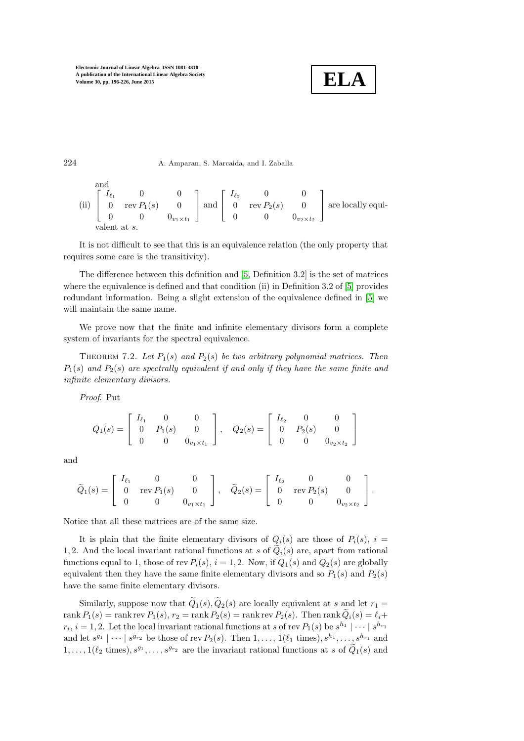

224 A. Amparan, S. Marcaida, and I. Zaballa

and  
\n(ii) 
$$
\begin{bmatrix} I_{\ell_1} & 0 & 0 \\ 0 & \text{rev } P_1(s) & 0 \\ 0 & 0 & 0_{v_1 \times t_1} \end{bmatrix}
$$
 and  $\begin{bmatrix} I_{\ell_2} & 0 & 0 \\ 0 & \text{rev } P_2(s) & 0 \\ 0 & 0 & 0_{v_2 \times t_2} \end{bmatrix}$  are locally equi-  
\nvalent at s.

It is not difficult to see that this is an equivalence relation (the only property that requires some care is the transitivity).

The difference between this definition and [\[5,](#page-29-2) Definition 3.2] is the set of matrices where the equivalence is defined and that condition (ii) in Definition 3.2 of [\[5\]](#page-29-2) provides redundant information. Being a slight extension of the equivalence defined in [\[5\]](#page-29-2) we will maintain the same name.

We prove now that the finite and infinite elementary divisors form a complete system of invariants for the spectral equivalence.

THEOREM 7.2. Let  $P_1(s)$  and  $P_2(s)$  be two arbitrary polynomial matrices. Then  $P_1(s)$  and  $P_2(s)$  are spectrally equivalent if and only if they have the same finite and infinite elementary divisors.

Proof. Put

$$
Q_1(s) = \begin{bmatrix} I_{\ell_1} & 0 & 0 \\ 0 & P_1(s) & 0 \\ 0 & 0 & 0_{v_1 \times t_1} \end{bmatrix}, \quad Q_2(s) = \begin{bmatrix} I_{\ell_2} & 0 & 0 \\ 0 & P_2(s) & 0 \\ 0 & 0 & 0_{v_2 \times t_2} \end{bmatrix}
$$

and

$$
\widetilde{Q}_1(s) = \left[ \begin{array}{ccc} I_{\ell_1} & 0 & 0 \\ 0 & \text{rev}\,P_1(s) & 0 \\ 0 & 0 & 0_{v_1 \times t_1} \end{array} \right], \quad \widetilde{Q}_2(s) = \left[ \begin{array}{ccc} I_{\ell_2} & 0 & 0 \\ 0 & \text{rev}\,P_2(s) & 0 \\ 0 & 0 & 0_{v_2 \times t_2} \end{array} \right].
$$

Notice that all these matrices are of the same size.

It is plain that the finite elementary divisors of  $Q_i(s)$  are those of  $P_i(s)$ ,  $i =$ 1, 2. And the local invariant rational functions at s of  $\hat{Q}_i(s)$  are, apart from rational functions equal to 1, those of rev  $P_i(s)$ ,  $i = 1, 2$ . Now, if  $Q_1(s)$  and  $Q_2(s)$  are globally equivalent then they have the same finite elementary divisors and so  $P_1(s)$  and  $P_2(s)$ have the same finite elementary divisors.

Similarly, suppose now that  $\widetilde{Q}_1(s), \widetilde{Q}_2(s)$  are locally equivalent at s and let  $r_1 =$ rank  $P_1(s) = \text{rank} \text{rev } P_1(s)$ ,  $r_2 = \text{rank} P_2(s) = \text{rank} \text{rev } P_2(s)$ . Then  $\text{rank } Q_i(s) = \ell_i +$  $r_i$ ,  $i = 1, 2$ . Let the local invariant rational functions at s of rev  $P_1(s)$  be  $s^{h_1} | \cdots | s^{h_{r_1}}$ and let  $s^{g_1} | \cdots | s^{g_{r_2}}$  be those of rev  $P_2(s)$ . Then  $1, \ldots, 1(\ell_1 \text{ times}), s^{h_1}, \ldots, s^{h_{r_1}}$  and  $1, \ldots, 1(\ell_2 \text{ times}), s^{g_1}, \ldots, s^{g_{r_2}}$  are the invariant rational functions at s of  $\tilde{Q}_1(s)$  and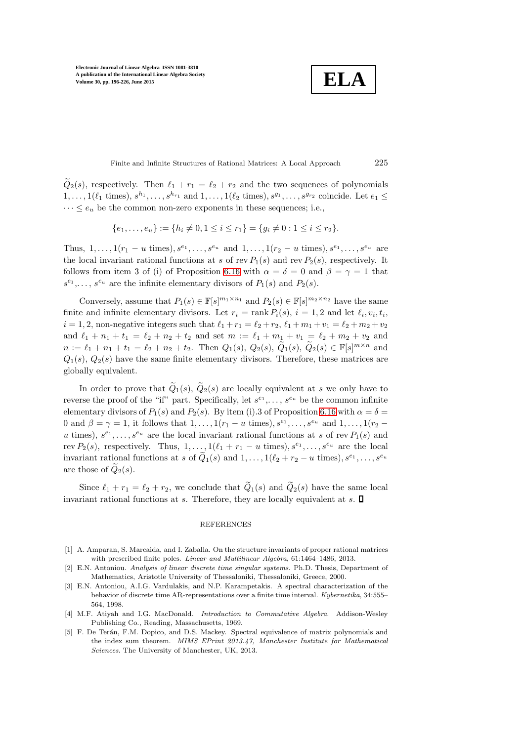**ELA**

Finite and Infinite Structures of Rational Matrices: A Local Approach 225

 $Q_2(s)$ , respectively. Then  $\ell_1 + r_1 = \ell_2 + r_2$  and the two sequences of polynomials  $1,\ldots,1(\ell_1 \text{ times}), s^{h_1},\ldots,s^{h_{r_1}} \text{ and } 1,\ldots,1(\ell_2 \text{ times}), s^{g_1},\ldots,s^{g_{r_2}} \text{ coincide. Let } e_1 \leq$  $\cdots \leq e_u$  be the common non-zero exponents in these sequences; i.e.,

$$
\{e_1, \ldots, e_u\} := \{h_i \neq 0, 1 \le i \le r_1\} = \{g_i \neq 0 : 1 \le i \le r_2\}.
$$

Thus,  $1, \ldots, 1(r_1 - u \text{ times}), s^{e_1}, \ldots, s^{e_u} \text{ and } 1, \ldots, 1(r_2 - u \text{ times}), s^{e_1}, \ldots, s^{e_u} \text{ are }$ the local invariant rational functions at s of rev  $P_1(s)$  and rev  $P_2(s)$ , respectively. It follows from item 3 of (i) of Proposition [6.16](#page-26-0) with  $\alpha = \delta = 0$  and  $\beta = \gamma = 1$  that  $s^{e_1}, \ldots, s^{e_u}$  are the infinite elementary divisors of  $P_1(s)$  and  $P_2(s)$ .

Conversely, assume that  $P_1(s) \in \mathbb{F}[s]^{m_1 \times n_1}$  and  $P_2(s) \in \mathbb{F}[s]^{m_2 \times n_2}$  have the same finite and infinite elementary divisors. Let  $r_i = \text{rank } P_i(s)$ ,  $i = 1, 2$  and let  $\ell_i, v_i, t_i$ ,  $i = 1, 2$ , non-negative integers such that  $\ell_1 + r_1 = \ell_2 + r_2$ ,  $\ell_1 + m_1 + v_1 = \ell_2 + m_2 + v_2$ and  $\ell_1 + n_1 + t_1 = \ell_2 + n_2 + t_2$  and set  $m := \ell_1 + m_1 + v_1 = \ell_2 + m_2 + v_2$  and  $n := \ell_1 + n_1 + t_1 = \ell_2 + n_2 + t_2$ . Then  $Q_1(s)$ ,  $Q_2(s)$ ,  $\widetilde{Q}_1(s)$ ,  $\widetilde{Q}_2(s) \in \mathbb{F}[s]^{m \times n}$  and  $Q_1(s)$ ,  $Q_2(s)$  have the same finite elementary divisors. Therefore, these matrices are globally equivalent.

In order to prove that  $\tilde{Q}_1(s)$ ,  $\tilde{Q}_2(s)$  are locally equivalent at s we only have to reverse the proof of the "if" part. Specifically, let  $s^{e_1}, \ldots, s^{e_u}$  be the common infinite elementary divisors of  $P_1(s)$  and  $P_2(s)$ . By item (i). 3 of Proposition [6.16](#page-26-0) with  $\alpha = \delta$ 0 and  $\beta = \gamma = 1$ , it follows that  $1, \ldots, 1(r_1 - u \text{ times}), s^{e_1}, \ldots, s^{e_u}$  and  $1, \ldots, 1(r_2 - u \text{ times})$ u times),  $s^{e_1}, \ldots, s^{e_u}$  are the local invariant rational functions at s of rev  $P_1(s)$  and rev  $P_2(s)$ , respectively. Thus,  $1, \ldots, 1(\ell_1 + r_1 - u \text{ times}), s^{e_1}, \ldots, s^{e_u}$  are the local invariant rational functions at s of  $\tilde{Q}_1(s)$  and  $1, \ldots, 1(\ell_2 + r_2 - u \text{ times}), s^{e_1}, \ldots, s^{e_u}$ are those of  $\tilde{Q}_2(s)$ .

Since  $\ell_1 + r_1 = \ell_2 + r_2$ , we conclude that  $\tilde{Q}_1(s)$  and  $\tilde{Q}_2(s)$  have the same local invariant rational functions at s. Therefore, they are locally equivalent at s.  $\square$ 

### **REFERENCES**

- <span id="page-29-4"></span>[1] A. Amparan, S. Marcaida, and I. Zaballa. On the structure invariants of proper rational matrices with prescribed finite poles. *Linear and Multilinear Algebra*, 61:1464–1486, 2013.
- <span id="page-29-0"></span>[2] E.N. Antoniou. Analysis of linear discrete time singular systems. Ph.D. Thesis, Department of Mathematics, Aristotle University of Thessaloniki, Thessaloniki, Greece, 2000.
- <span id="page-29-1"></span>[3] E.N. Antoniou, A.I.G. Vardulakis, and N.P. Karampetakis. A spectral characterization of the behavior of discrete time AR-representations over a finite time interval. Kybernetika, 34:555– 564, 1998.
- <span id="page-29-3"></span>[4] M.F. Atiyah and I.G. MacDonald. Introduction to Commutative Algebra. Addison-Wesley Publishing Co., Reading, Massachusetts, 1969.
- <span id="page-29-2"></span>[5] F. De Terán, F.M. Dopico, and D.S. Mackey. Spectral equivalence of matrix polynomials and the index sum theorem. MIMS EPrint 2013.47, Manchester Institute for Mathematical Sciences. The University of Manchester, UK, 2013.